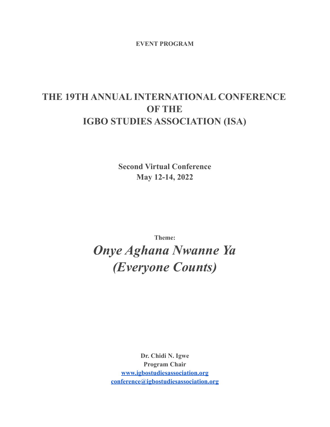**EVENT PROGRAM**

# **THE 19TH ANNUAL INTERNATIONAL CONFERENCE OF THE IGBO STUDIES ASSOCIATION (ISA)**

**Second Virtual Conference May 12-14, 2022**

**Theme:**

*Onye Aghana Nwanne Ya (Everyone Counts)*

> **Dr. Chidi N. Igwe Program Chair [www.igbostudiesassociation.org](http://www.igbostudiesassociation.org) [conference@igbostudiesassociation.org](mailto:conference@igbostudiesassociation.org)**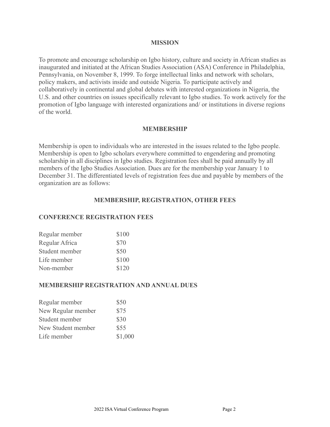### **MISSION**

To promote and encourage scholarship on Igbo history, culture and society in African studies as inaugurated and initiated at the African Studies Association (ASA) Conference in Philadelphia, Pennsylvania, on November 8, 1999. To forge intellectual links and network with scholars, policy makers, and activists inside and outside Nigeria. To participate actively and collaboratively in continental and global debates with interested organizations in Nigeria, the U.S. and other countries on issues specifically relevant to Igbo studies. To work actively for the promotion of Igbo language with interested organizations and/ or institutions in diverse regions of the world.

# **MEMBERSHIP**

Membership is open to individuals who are interested in the issues related to the Igbo people. Membership is open to Igbo scholars everywhere committed to engendering and promoting scholarship in all disciplines in Igbo studies. Registration fees shall be paid annually by all members of the Igbo Studies Association. Dues are for the membership year January 1 to December 31. The differentiated levels of registration fees due and payable by members of the organization are as follows:

# **MEMBERSHIP, REGISTRATION, OTHER FEES**

# **CONFERENCE REGISTRATION FEES**

| Regular member | \$100 |
|----------------|-------|
| Regular Africa | \$70  |
| Student member | \$50  |
| Life member    | \$100 |
| Non-member     | \$120 |

# **MEMBERSHIP REGISTRATION AND ANNUAL DUES**

| Regular member     | \$50    |
|--------------------|---------|
| New Regular member | \$75    |
| Student member     | \$30    |
| New Student member | \$55    |
| Life member        | \$1,000 |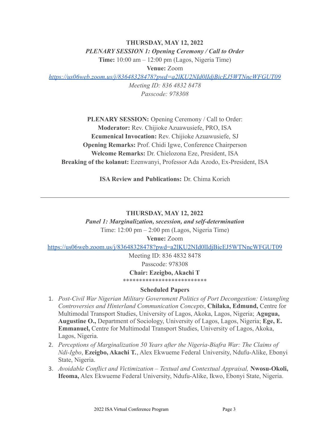### **THURSDAY, MAY 12, 2022**

### *PLENARY SESSION 1: Opening Ceremony / Call to Order*

**Time:** 10:00 am – 12:00 pm (Lagos, Nigeria Time)

**Venue:** Zoom

*<https://us06web.zoom.us/j/83648328478?pwd=a2lKU2NId0lIdjBicEJ5WTNncWFGUT09>*

*Meeting ID: 836 4832 8478 Passcode: 978308*

**PLENARY SESSION:** Opening Ceremony / Call to Order: **Moderator:** Rev. Chijioke Azuawusiefe, PRO, ISA **Ecumenical Invocation:** Rev. Chijioke Azuawusiefe, SJ **Opening Remarks:** Prof. Chidi Igwe, Conference Chairperson **Welcome Remarks:** Dr. Chielozona Eze, President, ISA **Breaking of the kolanut:** Ezenwanyi, Professor Ada Azodo, Ex-President, ISA

**ISA Review and Publications:** Dr. Chima Korieh

# **THURSDAY, MAY 12, 2022**

*Panel 1: Marginalization, secession, and self-determination* Time: 12:00 pm – 2:00 pm (Lagos, Nigeria Time)

**Venue:** Zoom

<https://us06web.zoom.us/j/83648328478?pwd=a2lKU2NId0lIdjBicEJ5WTNncWFGUT09>

Meeting ID: 836 4832 8478 Passcode: 978308

**Chair: Ezeigbo, Akachi T** \*\*\*\*\*\*\*\*\*\*\*\*\*\*\*\*\*\*\*\*\*\*\*\*\*\*

# **Scheduled Papers**

- 1. *Post-Civil War Nigerian Military Government Politics of Port Decongestion: Untangling Controversies and Hinterland Communication Concepts*, **Chilaka, Edmund,** Centre for Multimodal Transport Studies, University of Lagos, Akoka, Lagos, Nigeria; **Agugua, Augustine O.,** Department of Sociology, University of Lagos, Lagos, Nigeria; **Ege, E. Emmanuel,** Centre for Multimodal Transport Studies, University of Lagos, Akoka, Lagos, Nigeria.
- 2. *Perceptions of Marginalization 50 Years after the Nigeria-Biafra War: The Claims of Ndi-Igbo*, **Ezeigbo, Akachi T.**, Alex Ekwueme Federal University, Ndufu-Alike, Ebonyi State, Nigeria.
- 3. *Avoidable Conflict and Victimization Textual and Contextual Appraisal,* **Nwosu-Okoli, Ifeoma,** Alex Ekwueme Federal University, Ndufu-Alike, Ikwo, Ebonyi State, Nigeria.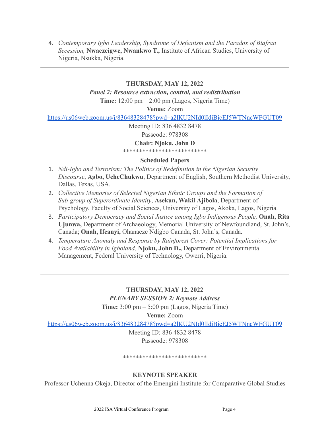4. *Contemporary Igbo Leadership, Syndrome of Defeatism and the Paradox of Biafran Secession,* **Nwaezeigwe, Nwankwo T.,** Institute of African Studies, University of Nigeria, Nsukka, Nigeria.

# **THURSDAY, MAY 12, 2022**

*Panel 2: Resource extraction, control, and redistribution*

**Time:** 12:00 pm – 2:00 pm (Lagos, Nigeria Time)

**Venue:** Zoom

<https://us06web.zoom.us/j/83648328478?pwd=a2lKU2NId0lIdjBicEJ5WTNncWFGUT09>

Meeting ID: 836 4832 8478

Passcode: 978308

**Chair: Njoku, John D**

\*\*\*\*\*\*\*\*\*\*\*\*\*\*\*\*\*\*\*\*\*\*\*\*\*\*

# **Scheduled Papers**

- 1. *Ndi-Igbo and Terrorism: The Politics of Redefinition in the Nigerian Security Discourse*, **Agbo, UcheChukwu**, Department of English, Southern Methodist University, Dallas, Texas, USA.
- 2. *Collective Memories of Selected Nigerian Ethnic Groups and the Formation of Sub-group of Superordinate Identity*, **Asekun, Wakil Ajibola**, Department of Psychology, Faculty of Social Sciences, University of Lagos, Akoka, Lagos, Nigeria.
- 3. *Participatory Democracy and Social Justice among Igbo Indigenous People,* **Onah, Rita Ujunwa,** Department of Archaeology, Memorial University of Newfoundland, St. John's, Canada; **Onah, Ifeanyi,** Ohanaeze Ndigbo Canada, St. John's, Canada.
- 4. *Temperature Anomaly and Response by Rainforest Cover: Potential Implications for Food Availability in Igboland,* **Njoku, John D.,** Department of Environmental Management, Federal University of Technology, Owerri, Nigeria.

**THURSDAY, MAY 12, 2022** *PLENARY SESSION 2: Keynote Address*

**Time:** 3:00 pm – 5:00 pm (Lagos, Nigeria Time)

**Venue:** Zoom

<https://us06web.zoom.us/j/83648328478?pwd=a2lKU2NId0lIdjBicEJ5WTNncWFGUT09>

Meeting ID: 836 4832 8478 Passcode: 978308

#### \*\*\*\*\*\*\*\*\*\*\*\*\*\*\*\*\*\*\*\*\*\*\*\*\*\*

# **KEYNOTE SPEAKER**

Professor Uchenna Okeja, Director of the Emengini Institute for Comparative Global Studies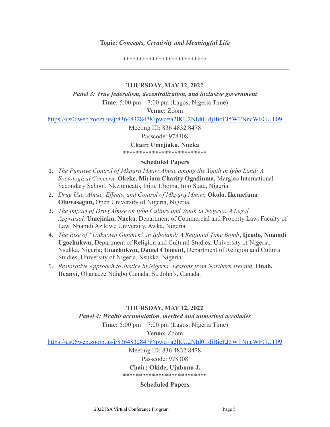# **Topic:** *Concepts, Creativity and Meaningful Life*

\*\*\*\*\*\*\*\*\*\*\*\*\*\*\*\*\*\*\*\*\*\*\*\*\*\*

# **THURSDAY, MAY 12, 2022**

*Panel 3: True federalism, decentralization, and inclusive government* **Time:** 5:00 pm – 7:00 pm (Lagos, Nigeria Time)

**Venue:** Zoom

<https://us06web.zoom.us/j/83648328478?pwd=a2lKU2NId0lIdjBicEJ5WTNncWFGUT09>

Meeting ID: 836 4832 8478 Passcode: 978308

**Chair: Umejiaku, Nneka**

\*\*\*\*\*\*\*\*\*\*\*\*\*\*\*\*\*\*\*\*\*\*\*\*\*\*

# **Scheduled Papers**

- 1. *The Punitive Control of Mkpuru Mmiri Abuse among the Youth in Igbo Land: A Sociological Concern,* **Okeke, Miriam Charity Ogadinma,** Margleo International Secondary School, Nkwumeato, Ihitte Uboma, Imo State, Nigeria.
- 2. *Drug Use, Abuse, Effects, and Control of Mkpụrụ Mmiri,* **Okolo, Ikemefuna Oluwasegun,** Open University of Nigeria, Nigeria.
- 3. *The Impact of Drug Abuse on Igbo Culture and Youth in Nigeria: A Legal Appraisal,* **Umejiaku, Nneka,** Department of Commercial and Property Law, Faculty of Law, Nnamdi Azikiwe University, Awka, Nigeria.
- 4. *The Rise of "Unknown Gunmen" in Igboland: A Regional Time Bomb*, **Ijeudo, Nnamdi Ugochukwu,** Department of Religion and Cultural Studies, University of Nigeria, Nsukka, Nigeria; **Unachukwu, Daniel Clement,** Department of Religion and Cultural Studies, University of Nigeria, Nsukka, Nigeria.
- 5. *Restorative Approach to Justice in Nigeria: Lessons from Northern Ireland,* **Onah, Ifeanyi,** Ohanaeze Ndigbo Canada, St. John's, Canada.

# **THURSDAY, MAY 12, 2022**

*Panel 4: Wealth accumulation, merited and unmerited accolades* **Time:** 5:00 pm – 7:00 pm (Lagos, Nigeria Time)

**Venue:** Zoom

<https://us06web.zoom.us/j/83648328478?pwd=a2lKU2NId0lIdjBicEJ5WTNncWFGUT09>

Meeting ID: 836 4832 8478

Passcode: 978308

# **Chair: Okide, Ujubonu J.**

\*\*\*\*\*\*\*\*\*\*\*\*\*\*\*\*\*\*\*\*\*\*\*\*\*\*

# **Scheduled Papers**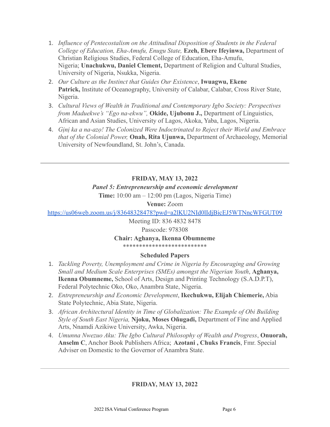- 1. *Influence of Pentecostalism on the Attitudinal Disposition of Students in the Federal College of Education, Eha-Amufu, Enugu State,* **Ezeh, Ebere Ifeyinwa,** Department of Christian Religious Studies, Federal College of Education, Eha-Amufu, Nigeria; **Unachukwu, Daniel Clement,** Department of Religion and Cultural Studies, University of Nigeria, Nsukka, Nigeria.
- 2. *Our Culture as the Instinct that Guides Our Existence*, **Iwuagwu, Ekene** Patrick, Institute of Oceanography, University of Calabar, Calabar, Cross River State, Nigeria.
- 3. *Cultural Views of Wealth in Traditional and Contemporary Igbo Society: Perspectives from Maduekwe's "Ego na-ekwu",* **Okide, Ujubonu J.,** Department of Linguistics, African and Asian Studies, University of Lagos, Akoka, Yaba, Lagos, Nigeria.
- 4. *Gịnị ka a na-azọ! The Colonized Were Indoctrinated to Reject their World and Embrace that of the Colonial Power,* **Onah, Rita Ujunwa,** Department of Archaeology, Memorial University of Newfoundland, St. John's, Canada.

# **FRIDAY, MAY 13, 2022**

# *Panel 5: Entrepreneurship and economic development*

**Time:** 10:00 am – 12:00 pm (Lagos, Nigeria Time)

# **Venue:** Zoom

<https://us06web.zoom.us/j/83648328478?pwd=a2lKU2NId0lIdjBicEJ5WTNncWFGUT09>

Meeting ID: 836 4832 8478

# Passcode: 978308

# **Chair: Aghanya, Ikenna Obumneme**

\*\*\*\*\*\*\*\*\*\*\*\*\*\*\*\*\*\*\*\*\*\*\*\*\*\*

# **Scheduled Papers**

- 1. *Tackling Poverty, Unemployment and Crime in Nigeria by Encouraging and Growing Small and Medium Scale Enterprises (SMEs) amongst the Nigerian Youth*, **Aghanya, Ikenna Obumneme,** School of Arts, Design and Printing Technology (S.A.D.P.T), Federal Polytechnic Oko, Oko, Anambra State, Nigeria.
- 2. *Entrepreneurship and Economic Development*, **Ikechukwu, Elijah Chiemerie,** Abia State Polytechnic, Abia State, Nigeria.
- 3. *African Architectural Identity in Time of Globalization: The Example of Obi Building Style of South East Nigeria,* **Njoku, Moses Oñugadi,** Department of Fine and Applied Arts, Nnamdi Azikiwe University, Awka, Nigeria.
- 4. *Umunna Nwezuo Aku: The Igbo Cultural Philosophy of Wealth and Progress*, **Onuorah, Anselm C**, Anchor Book Publishers Africa; **Azotani , Chuks Francis**, Fmr. Special Adviser on Domestic to the Governor of Anambra State.

# **FRIDAY, MAY 13, 2022**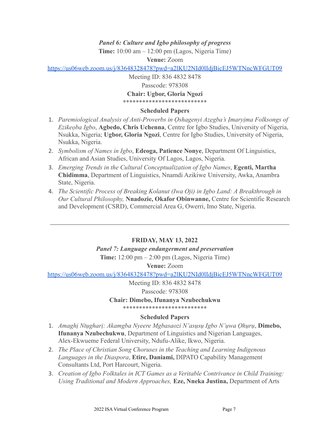# *Panel 6: Culture and Igbo philosophy of progress*

**Time:** 10:00 am – 12:00 pm (Lagos, Nigeria Time)

**Venue:** Zoom

<https://us06web.zoom.us/j/83648328478?pwd=a2lKU2NId0lIdjBicEJ5WTNncWFGUT09>

Meeting ID: 836 4832 8478 Passcode: 978308 **Chair: Ugbor, Gloria Ngozi** \*\*\*\*\*\*\*\*\*\*\*\*\*\*\*\*\*\*\*\*\*\*\*\*\*\*

# **Scheduled Papers**

- 1. *Paremiological Analysis of Anti-Proverbs in Ọshagenyi Azẹgba's Ịmaryịma Folksongs of Ezikeọba Igbo*, **Agbedo, Chris Uchenna**, Centre for Igbo Studies, University of Nigeria, Nsukka, Nigeria; **Ugbor, Gloria Ngozi**, Centre for Igbo Studies, University of Nigeria, Nsukka, Nigeria.
- 2. *Symbolism of Names in Igbo*, **Edeoga, Patience Nonye**, Department Of Linguistics, African and Asian Studies, University Of Lagos, Lagos, Nigeria.
- 3. *Emerging Trends in the Cultural Conceptualization of Igbo Names*, **Egenti, Martha Chidimma**, Department of Linguistics, Nnamdi Azikiwe University, Awka, Anambra State, Nigeria.
- 4. *The Scientific Process of Breaking Kolanut (Iwa Oji) in Igbo Land: A Breakthrough in Our Cultural Philosophy,* **Nnadozie, Okafor Obinwanne,** Centre for Scientific Research and Development (CSRD), Commercial Area G, Owerri, Imo State, Nigeria.

# **FRIDAY, MAY 13, 2022**

*Panel 7: Language endangerment and preservation*

**Time:** 12:00 pm – 2:00 pm (Lagos, Nigeria Time)

**Venue:** Zoom

<https://us06web.zoom.us/j/83648328478?pwd=a2lKU2NId0lIdjBicEJ5WTNncWFGUT09>

Meeting ID: 836 4832 8478

Passcode: 978308

### **Chair: Dimebo, Ifunanya Nzubechukwu**

\*\*\*\*\*\*\*\*\*\*\*\*\*\*\*\*\*\*\*\*\*\*\*\*\*\*

# **Scheduled Papers**

- 1. *Amaghị Ntụgharị: Akamgba Nyeere Mgbasaozi N'asụsụ Igbo N'ụwa Ọhụrụ*, **Dimebo, Ifunanya Nzubechukwu**, Department of Linguistics and Nigerian Languages, Alex-Ekwueme Federal University, Ndufu-Alike, Ikwo, Nigeria.
- 2. *The Place of Christian Song Choruses in the Teaching and Learning Indigenous Languages in the Diaspora*, **Etire, Daniami,** DIPATO Capability Management Consultants Ltd, Port Harcourt, Nigeria.
- 3. *Creation of Igbo Folktales in ICT Games as a Veritable Contrivance in Child Training: Using Traditional and Modern Approaches,* **Eze, Nneka Justina,** Department of Arts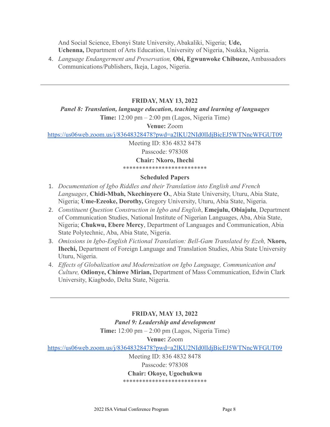And Social Science, Ebonyi State University, Abakaliki, Nigeria; **Ude, Uchenna,** Department of Arts Education, University of Nigeria, Nsukka, Nigeria.

4. *Language Endangerment and Preservation,* **Obi, Egwunwoke Chibueze,** Ambassadors Communications/Publishers, Ikeja, Lagos, Nigeria.

### **FRIDAY, MAY 13, 2022**

*Panel 8: Translation, language education, teaching and learning of languages*

**Time:** 12:00 pm – 2:00 pm (Lagos, Nigeria Time)

**Venue:** Zoom

<https://us06web.zoom.us/j/83648328478?pwd=a2lKU2NId0lIdjBicEJ5WTNncWFGUT09>

Meeting ID: 836 4832 8478 Passcode: 978308 **Chair: Nkoro, Ihechi** \*\*\*\*\*\*\*\*\*\*\*\*\*\*\*\*\*\*\*\*\*\*\*\*\*\*

#### **Scheduled Papers**

- 1. *Documentation of Igbo Riddles and their Translation into English and French Languages*, **Chidi-Mbah, Nkechinyere O.**, Abia State University, Uturu, Abia State, Nigeria; **Ume-Ezeoke, Dorothy,** Gregory University, Uturu, Abia State, Nigeria.
- 2. *Constituent Question Construction in Igbo and English*, **Emejulu, Obiajulu**, Department of Communication Studies, National Institute of Nigerian Languages, Aba, Abia State, Nigeria; **Chukwu, Ebere Mercy**, Department of Languages and Communication, Abia State Polytechnic, Aba, Abia State, Nigeria.
- 3. *Omissions in Igbo-English Fictional Translation: Bell-Gam Translated by Ezeh,* **Nkoro, Ihechi,** Department of Foreign Language and Translation Studies, Abia State University Uturu, Nigeria.
- 4. *Effects of Globalization and Modernization on Igbo Language, Communication and Culture,* **Odionye, Chinwe Mirian,** Department of Mass Communication, Edwin Clark University, Kiagbodo, Delta State, Nigeria.

**FRIDAY, MAY 13, 2022** *Panel 9: Leadership and development* **Time:** 12:00 pm – 2:00 pm (Lagos, Nigeria Time) **Venue:** Zoom <https://us06web.zoom.us/j/83648328478?pwd=a2lKU2NId0lIdjBicEJ5WTNncWFGUT09> Meeting ID: 836 4832 8478

Passcode: 978308

#### **Chair: Okoye, Ugochukwu**

\*\*\*\*\*\*\*\*\*\*\*\*\*\*\*\*\*\*\*\*\*\*\*\*\*\*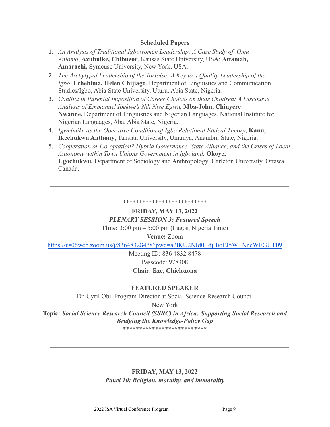### **Scheduled Papers**

- 1. *An Analysis of Traditional Igbowomen Leadership: A Case Study of Omu Anioma*, **Azubuike, Chibuzor**, Kansas State University, USA; **Attamah, Amarachi,** Syracuse University, New York, USA.
- 2. *The Archytypal Leadership of the Tortoise: A Key to a Quality Leadership of the Igbo*, **Echebima, Helen Chijiago**, Department of Linguistics and Communication Studies/Igbo, Abia State University, Uturu, Abia State, Nigeria.
- 3. *Conflict in Parental Imposition of Career Choices on their Children: A Discourse Analysis of Emmanuel Ibekwe's Ndi Nwe Egwu,* **Mba-John, Chinyere Nwanne,** Department of Linguistics and Nigerian Languages, National Institute for Nigerian Languages, Aba, Abia State, Nigeria.
- 4. *Igwebuike as the Operative Condition of Igbo Relational Ethical Theory*, **Kanu, Ikechukwu Anthony**, Tansian University, Umunya, Anambra State, Nigeria.
- 5. *Cooperation or Co-optation? Hybrid Governance, State Alliance, and the Crises of Local Autonomy within Town Unions Government in Igboland,* **Okoye, Ugochukwu,** Department of Sociology and Anthropology, Carleton University, Ottawa, Canada.

#### \*\*\*\*\*\*\*\*\*\*\*\*\*\*\*\*\*\*\*\*\*\*\*\*\*\*

# **FRIDAY, MAY 13, 2022**

# *PLENARY SESSION 3: Featured Speech*

**Time:** 3:00 pm – 5:00 pm (Lagos, Nigeria Time)

# **Venue:** Zoom

<https://us06web.zoom.us/j/83648328478?pwd=a2lKU2NId0lIdjBicEJ5WTNncWFGUT09>

Meeting ID: 836 4832 8478 Passcode: 978308 **Chair: Eze, Chielozona**

# **FEATURED SPEAKER**

Dr. Cyril Obi, Program Director at Social Science Research Council

New York

**Topic:** *Social Science Research Council (SSRC) in Africa: Supporting Social Research and Bridging the Knowledge-Policy Gap*

\*\*\*\*\*\*\*\*\*\*\*\*\*\*\*\*\*\*\*\*\*\*\*\*\*\*

# **FRIDAY, MAY 13, 2022** *Panel 10: Religion, morality, and immorality*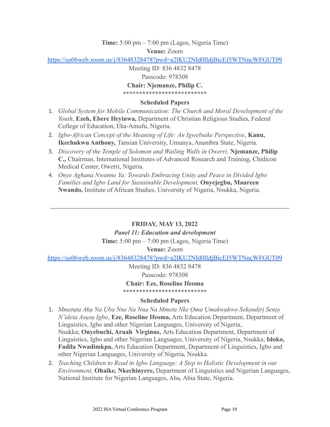# **Time:** 5:00 pm – 7:00 pm (Lagos, Nigeria Time) **Venue:** Zoom

<https://us06web.zoom.us/j/83648328478?pwd=a2lKU2NId0lIdjBicEJ5WTNncWFGUT09>

Meeting ID: 836 4832 8478

Passcode: 978308

# **Chair: Njemanze, Philip C.**

\*\*\*\*\*\*\*\*\*\*\*\*\*\*\*\*\*\*\*\*\*\*\*\*\*\*

# **Scheduled Papers**

- 1. *Global System for Mobile Communication: The Church and Moral Development of the Youth*, **Ezeh, Ebere Ifeyinwa,** Department of Christian Religious Studies, Federal College of Education, Eha-Amufu, Nigeria.
- 2. *Igbo-African Concept of the Meaning of Life: An Igwebuike Perspective*, **Kanu, Ikechukwu Anthony,** Tansian University, Umunya, Anambra State, Nigeria.
- 3. *Discovery of the Temple of Solomon and Wailing Walls in Owerri,* **Njemanze, Philip C.,** Chairman, International Institutes of Advanced Research and Training, Chidicon Medical Center, Owerri, Nigeria.
- 4. *Onye Aghana Nwanne Ya: Towards Embracing Unity and Peace in Divided Igbo Families and Igbo Land for Sustainable Development,* **Onyejegbu, Maureen Nwando,** Institute of African Studies, University of Nigeria, Nsukka, Nigeria.

# **FRIDAY, MAY 13, 2022**

# *Panel 11: Education and development*

**Time:** 5:00 pm – 7:00 pm (Lagos, Nigeria Time)

**Venue:** Zoom

<https://us06web.zoom.us/j/83648328478?pwd=a2lKU2NId0lIdjBicEJ5WTNncWFGUT09>

Meeting ID: 836 4832 8478 Passcode: 978308

# **Chair: Eze, Roseline Ifeoma**

\*\*\*\*\*\*\*\*\*\*\*\*\*\*\*\*\*\*\*\*\*\*\*\*\*\*

# **Scheduled Papers**

- 1. *Mmetụta Akụ Na Ụba Nne Na Nna Na Mmeta Nke Ọma Ụmakwụkwọ Sekọndịrị Senịọ N'ideta Asụsụ Igbo*, **Eze, Roseline Ifeoma,** Arts Education Department, Department of Linguistics, Igbo and other Nigerian Languages, University of Nigeria, Nsukka; **Onyebuchi, Aruah Virginus,** Arts Education Department, Department of Linguistics, Igbo and other Nigerian Languages, University of Nigeria, Nsukka; **Idoko, Fadila Nwadimkpa,** Arts Education Department, Department of Linguistics, Igbo and other Nigerian Languages, University of Nigeria, Nsukka.
- 2. *Teaching Children to Read in Igbo Language: A Step to Holistic Development in our Environment,* **Ohaike, Nkechinyere,** Department of Linguistics and Nigerian Languages, National Institute for Nigerian Languages, Aba, Abia State, Nigeria.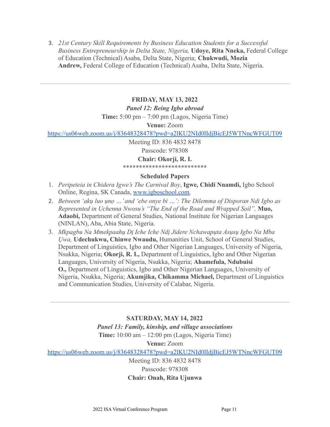3. *21st Century Skill Requirements by Business Education Students for a Successful Business Entrepreneurship in Delta State, Nigeria,* **Udoye, Rita Nneka,** Federal College of Education (Technical) Asaba, Delta State, Nigeria; **Chukwudi, Mozia Andrew,** Federal College of Education (Technical) Asaba, Delta State, Nigeria.

### **FRIDAY, MAY 13, 2022**

#### *Panel 12: Being Igbo abroad*

**Time:** 5:00 pm – 7:00 pm (Lagos, Nigeria Time)

**Venue:** Zoom

<https://us06web.zoom.us/j/83648328478?pwd=a2lKU2NId0lIdjBicEJ5WTNncWFGUT09>

Meeting ID: 836 4832 8478 Passcode: 978308 **Chair: Okorji, R. I.**

\*\*\*\*\*\*\*\*\*\*\*\*\*\*\*\*\*\*\*\*\*\*\*\*\*\*

#### **Scheduled Papers**

- 1. *Peripeteia in Chidera Igwe's The Carnival Boy*, **Igwe, Chidi Nnamdi,** Igbo School Online, Regina, SK Canada, [www.igboschool.com.](http://www.igboschool.com)
- 2. *Between 'akụ luo ụnọ …' and 'ebe onye bi …': The Dilemma of Disporan Ndi Igbo as Represented in Uchenna Nwosu's "The End of the Road and Wrapped Soil",* **Muo, Adaobi,** Department of General Studies, National Institute for Nigerian Languages (NINLAN), Aba, Abia State, Nigeria.
- 3. *Mkpagbu Na Mmekpaahụ Dị Iche Iche Ndị Jidere Nchawapụta Asụsụ Igbo Na Mba Ụwa,* **Udechukwu, Chinwe Nwaudu,** Humanities Unit, School of General Studies, Department of Linguistics, Igbo and Other Nigerian Languages, University of Nigeria, Nsukka, Nigeria; **Okorji, R. I.,** Department of Linguistics, Igbo and Other Nigerian Languages, University of Nigeria, Nsukka, Nigeria; **Ahamefula, Ndubuisi O.,** Department of Linguistics, Igbo and Other Nigerian Languages, University of Nigeria, Nsukka, Nigeria; **Akumjika, Chikamma Michael,** Department of Linguistics and Communication Studies, University of Calabar, Nigeria.

**SATURDAY, MAY 14, 2022** *Panel 13: Family, kinship, and village associations* **Time:** 10:00 am – 12:00 pm (Lagos, Nigeria Time) **Venue:** Zoom <https://us06web.zoom.us/j/83648328478?pwd=a2lKU2NId0lIdjBicEJ5WTNncWFGUT09> Meeting ID: 836 4832 8478

# Passcode: 978308 **Chair: Onah, Rita Ujunwa**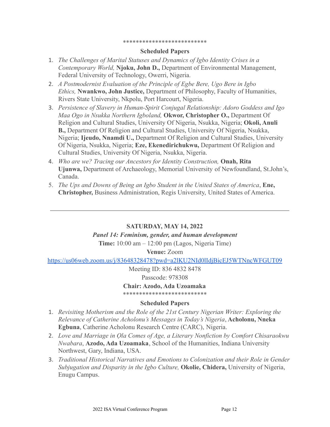#### \*\*\*\*\*\*\*\*\*\*\*\*\*\*\*\*\*\*\*\*\*\*\*\*\*\*

#### **Scheduled Papers**

- 1. *The Challenges of Marital Statuses and Dynamics of Igbo Identity Crises in a Contemporary World,* **Njoku, John D.,** Department of Environmental Management, Federal University of Technology, Owerri, Nigeria.
- 2. *A Postmodernist Evaluation of the Principle of Egbe Bere, Ugo Bere in Igbo Ethics,* **Nwankwo, John Justice,** Department of Philosophy, Faculty of Humanities, Rivers State University, Nkpolu, Port Harcourt, Nigeria.
- 3. *Persistence of Slavery in Human-Spirit Conjugal Relationship: Adoro Goddess and Igo Maa Ogo in Nsukka Northern Igboland,* **Okwor, Christopher O.,** Department Of Religion and Cultural Studies, University Of Nigeria, Nsukka, Nigeria; **Okoli, Anuli B.,** Department Of Religion and Cultural Studies, University Of Nigeria, Nsukka, Nigeria; **Ijeudo, Nnamdi U.,** Department Of Religion and Cultural Studies, University Of Nigeria, Nsukka, Nigeria; **Eze, Ekenedirichukwu,** Department Of Religion and Cultural Studies, University Of Nigeria, Nsukka, Nigeria.
- 4. *Who are we? Tracing our Ancestors for Identity Construction,* **Onah, Rita Ujunwa,** Department of Archaeology, Memorial University of Newfoundland, St.John's, Canada.
- 5. *The Ups and Downs of Being an Igbo Student in the United States of America*, **Ene, Christopher,** Business Administration, Regis University, United States of America.

#### **SATURDAY, MAY 14, 2022**

#### *Panel 14: Feminism, gender, and human development*

**Time:** 10:00 am – 12:00 pm (Lagos, Nigeria Time)

**Venue:** Zoom

<https://us06web.zoom.us/j/83648328478?pwd=a2lKU2NId0lIdjBicEJ5WTNncWFGUT09>

Meeting ID: 836 4832 8478 Passcode: 978308

**Chair: Azodo, Ada Uzoamaka** \*\*\*\*\*\*\*\*\*\*\*\*\*\*\*\*\*\*\*\*\*\*\*\*\*\*

### **Scheduled Papers**

- 1. *Revisiting Motherism and the Role of the 21st Century Nigerian Writer: Exploring the Relevance of Catherine Acholonu's Messages in Today's Nigeria*, **Acholonu, Nneka Egbuna**, Catherine Acholonu Research Centre (CARC), Nigeria.
- 2. *Love and Marriage in Ọla Comes of Age, a Literary Nonfiction by Comfort Chisaraokwu Nwabara*, **Azodo, Ada Uzoamaka**, School of the Humanities, Indiana University Northwest, Gary, Indiana, USA.
- 3. *Traditional Historical Narratives and Emotions to Colonization and their Role in Gender Subjugation and Disparity in the Igbo Culture,* **Okolie, Chidera,** University of Nigeria, Enugu Campus.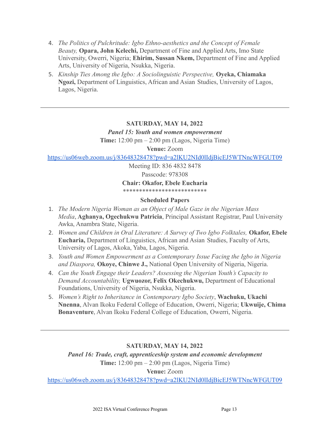- 4. *The Politics of Pulchritude: Igbo Ethno-aesthetics and the Concept of Female Beauty,* **Opara, John Kelechi,** Department of Fine and Applied Arts, Imo State University, Owerri, Nigeria; **Ehirim, Sussan Nkem,** Department of Fine and Applied Arts, University of Nigeria, Nsukka, Nigeria.
- 5. *Kinship Ties Among the Igbo: A Sociolinguistic Perspective,* **Oyeka, Chiamaka Ngozi,** Department of Linguistics, African and Asian Studies, University of Lagos, Lagos, Nigeria.

# **SATURDAY, MAY 14, 2022**

*Panel 15: Youth and women empowerment*

**Time:** 12:00 pm – 2:00 pm (Lagos, Nigeria Time)

**Venue:** Zoom

<https://us06web.zoom.us/j/83648328478?pwd=a2lKU2NId0lIdjBicEJ5WTNncWFGUT09>

Meeting ID: 836 4832 8478

Passcode: 978308

**Chair: Okafor, Ebele Eucharia**

\*\*\*\*\*\*\*\*\*\*\*\*\*\*\*\*\*\*\*\*\*\*\*\*\*\*

# **Scheduled Papers**

- 1. *The Modern Nigeria Woman as an Object of Male Gaze in the Nigerian Mass Media*, **Aghanya, Ogechukwu Patricia**, Principal Assistant Registrar, Paul University Awka, Anambra State, Nigeria.
- 2. *Women and Children in Oral Literature: A Survey of Two Igbo Folktales,* **Okafor, Ebele Eucharia,** Department of Linguistics, African and Asian Studies, Faculty of Arts, University of Lagos, Akoka, Yaba, Lagos, Nigeria.
- 3. *Youth and Women Empowerment as a Contemporary Issue Facing the Igbo in Nigeria and Diaspora,* **Okoye, Chinwe J.,** National Open University of Nigeria, Nigeria.
- 4. *Can the Youth Engage their Leaders? Assessing the Nigerian Youth's Capacity to Demand Accountability,* **Ugwuozor, Felix Okechukwu,** Department of Educational Foundations, University of Nigeria, Nsukka, Nigeria.
- 5. *Women's Right to Inheritance in Contemporary Igbo Society*, **Wachuku, Ukachi Nnenna**, Alvan Ikoku Federal College of Education, Owerri, Nigeria; **Ukwuije, Chima Bonaventure**, Alvan Ikoku Federal College of Education, Owerri, Nigeria.

# **SATURDAY, MAY 14, 2022**

*Panel 16: Trade, craft, apprenticeship system and economic development*

**Time:** 12:00 pm – 2:00 pm (Lagos, Nigeria Time)

# **Venue:** Zoom

<https://us06web.zoom.us/j/83648328478?pwd=a2lKU2NId0lIdjBicEJ5WTNncWFGUT09>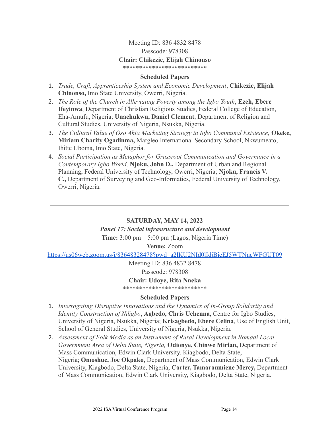# Meeting ID: 836 4832 8478 Passcode: 978308 **Chair: Chikezie, Elijah Chinonso** \*\*\*\*\*\*\*\*\*\*\*\*\*\*\*\*\*\*\*\*\*\*\*\*\*\*

### **Scheduled Papers**

- 1. *Trade, Craft, Apprenticeship System and Economic Development*, **Chikezie, Elijah Chinonso,** Imo State University, Owerri, Nigeria.
- 2. *The Role of the Church in Alleviating Poverty among the Igbo Youth*, **Ezeh, Ebere Ifeyinwa**, Department of Christian Religious Studies, Federal College of Education, Eha-Amufu, Nigeria; **Unachukwu, Daniel Clement**, Department of Religion and Cultural Studies, University of Nigeria, Nsukka, Nigeria.
- 3. *The Cultural Value of Oso Ahia Marketing Strategy in Igbo Communal Existence,* **Okeke, Miriam Charity Ogadinma,** Margleo International Secondary School, Nkwumeato, Ihitte Uboma, Imo State, Nigeria.
- 4. *Social Participation as Metaphor for Grassroot Communication and Governance in a Contemporary Igbo World,* **Njoku, John D.,** Department of Urban and Regional Planning, Federal University of Technology, Owerri, Nigeria; **Njoku, Francis V. C.,** Department of Surveying and Geo-Informatics, Federal University of Technology, Owerri, Nigeria.

# **SATURDAY, MAY 14, 2022**

# *Panel 17: Social infrastructure and development*

**Time:** 3:00 pm – 5:00 pm (Lagos, Nigeria Time)

**Venue:** Zoom

<https://us06web.zoom.us/j/83648328478?pwd=a2lKU2NId0lIdjBicEJ5WTNncWFGUT09>

Meeting ID: 836 4832 8478

Passcode: 978308

**Chair: Udoye, Rita Nneka**

\*\*\*\*\*\*\*\*\*\*\*\*\*\*\*\*\*\*\*\*\*\*\*\*\*\*

# **Scheduled Papers**

- 1. *Interrogating Disruptive Innovations and the Dynamics of In-Group Solidarity and Identity Construction of Ndigbo*, **Agbedo, Chris Uchenna**, Centre for Igbo Studies, University of Nigeria, Nsukka, Nigeria; **Krisagbedo, Ebere Celina**, Use of English Unit, School of General Studies, University of Nigeria, Nsukka, Nigeria.
- 2. *Assessment of Folk Media as an Instrument of Rural Development in Bomadi Local Government Area of Delta State, Nigeria,* **Odionye, Chinwe Mirian,** Department of Mass Communication, Edwin Clark University, Kiagbodo, Delta State, Nigeria; **Omoshue, Joe Okpako,** Department of Mass Communication, Edwin Clark University, Kiagbodo, Delta State, Nigeria; **Carter, Tamaraumiene Mercy,** Department of Mass Communication, Edwin Clark University, Kiagbodo, Delta State, Nigeria.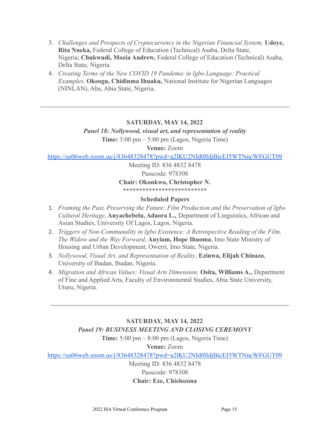- 3. *Challenges and Prospects of Cryptocurrency in the Nigerian Financial System,* **Udoye, Rita Nneka,** Federal College of Education (Technical) Asaba, Delta State, Nigeria; **Chukwudi, Mozia Andrew,** Federal College of Education (Technical) Asaba, Delta State, Nigeria.
- 4. *Creating Terms of the New COVID 19 Pandemic in Igbo Language: Practical Examples,* **Okeogu, Chidinma Ihuaku,** National Institute for Nigerian Languages (NINLAN), Aba, Abia State, Nigeria.

# **SATURDAY, MAY 14, 2022**

*Panel 18: Nollywood, visual art, and representation of reality*

**Time:** 3:00 pm – 5:00 pm (Lagos, Nigeria Time)

**Venue:** Zoom

<https://us06web.zoom.us/j/83648328478?pwd=a2lKU2NId0lIdjBicEJ5WTNncWFGUT09>

Meeting ID: 836 4832 8478 Passcode: 978308

**Chair: Okonkwo, Christopher N.**

\*\*\*\*\*\*\*\*\*\*\*\*\*\*\*\*\*\*\*\*\*\*\*\*\*\*

# **Scheduled Papers**

- 1. *Framing the Past, Preserving the Future: Film Production and the Preservation of Igbo Cultural Heritage*, **Anyachebelu, Adaora L.,** Department of Linguistics, African and Asian Studies, University Of Lagos, Lagos, Nigeria.
- 2. *Triggers of Non-Communality in Igbo Existence: A Retrospective Reading of the Film, The Widow and the Way Forward*, **Anyiam, Hope Ihuoma**, Imo State Ministry of Housing and Urban Development, Owerri, Imo State, Nigeria.
- 3. *Nollywood, Visual Art, and Representation of Reality*, **Ezinwa, Elijah Chinazo**, University of Ibadan, Ibadan, Nigeria.
- 4. *Migration and African Values: Visual Arts Dimension,* **Osita, Williams A.,** Department of Fine and Applied Arts, Faculty of Environmental Studies, Abia State University, Uturu, Nigeria.

# **SATURDAY, MAY 14, 2022**

# *Panel 19: BUSINESS MEETING AND CLOSING CEREMONY*

**Time:** 5:00 pm – 8:00 pm (Lagos, Nigeria Time)

**Venue:** Zoom

<https://us06web.zoom.us/j/83648328478?pwd=a2lKU2NId0lIdjBicEJ5WTNncWFGUT09>

Meeting ID: 836 4832 8478

Passcode: 978308

# **Chair: Eze, Chielozona**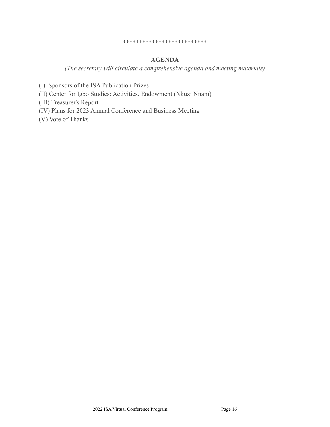#### \*\*\*\*\*\*\*\*\*\*\*\*\*\*\*\*\*\*\*\*\*\*\*\*\*\*

# **AGENDA**

*(The secretary will circulate a comprehensive agenda and meeting materials)*

- (I) Sponsors of the ISA Publication Prizes
- (II) Center for Igbo Studies: Activities, Endowment (Nkuzi Nnam)

(III) Treasurer's Report

(IV) Plans for 2023 Annual Conference and Business Meeting

(V) Vote of Thanks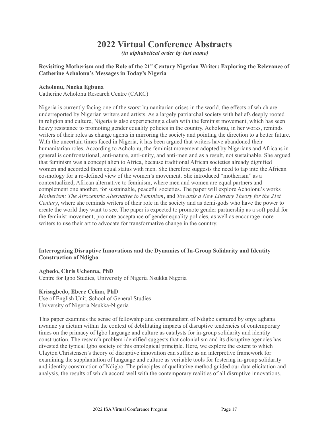# **2022 Virtual Conference Abstracts**

*(in alphabetical order by last name)*

#### **Revisiting Motherism and the Role of the 21 st Century Nigerian Writer: Exploring the Relevance of Catherine Acholonu's Messages in Today's Nigeria**

#### **Acholonu, Nneka Egbuna**

Catherine Acholonu Research Centre (CARC)

Nigeria is currently facing one of the worst humanitarian crises in the world, the effects of which are underreported by Nigerian writers and artists. As a largely patriarchal society with beliefs deeply rooted in religion and culture, Nigeria is also experiencing a clash with the feminist movement, which has seen heavy resistance to promoting gender equality policies in the country. Acholonu, in her works, reminds writers of their roles as change agents in mirroring the society and pointing the direction to a better future. With the uncertain times faced in Nigeria, it has been argued that writers have abandoned their humanitarian roles. According to Acholonu, the feminist movement adopted by Nigerians and Africans in general is confrontational, anti-nature, anti-unity, and anti-men and as a result, not sustainable. She argued that feminism was a concept alien to Africa, because traditional African societies already dignified women and accorded them equal status with men. She therefore suggests the need to tap into the African cosmology for a re-defined view of the women's movement. She introduced "motherism" as a contextualized, African alternative to feminism, where men and women are equal partners and complement one another, for sustainable, peaceful societies. The paper will explore Acholonu's works *Motherism: The Afrocentric Alternative to Feminism*, and *Towards a New Literary Theory for the 21st Century*, where she reminds writers of their role in the society and as demi-gods who have the power to create the world they want to see. The paper is expected to promote gender partnership as a soft pedal for the feminist movement, promote acceptance of gender equality policies, as well as encourage more writers to use their art to advocate for transformative change in the country.

#### **Interrogating Disruptive Innovations and the Dynamics of In-Group Solidarity and Identity Construction of Ndigbo**

#### **Agbedo, Chris Uchenna, PhD**

Centre for Igbo Studies, University of Nigeria Nsukka Nigeria

#### **Krisagbedo, Ebere Celina, PhD**

Use of English Unit, School of General Studies University of Nigeria Nsukka-Nigeria

This paper examines the sense of fellowship and communalism of Ndigbo captured by onye aghana nwanne ya dictum within the context of debilitating impacts of disruptive tendencies of contemporary times on the primacy of Igbo language and culture as catalysts for in-group solidarity and identity construction. The research problem identified suggests that colonialism and its disruptive agencies has divested the typical Igbo society of this ontological principle. Here, we explore the extent to which Clayton Christensen's theory of disruptive innovation can suffice as an interpretive framework for examining the supplantation of language and culture as veritable tools for fostering in-group solidarity and identity construction of Ndigbo. The principles of qualitative method guided our data elicitation and analysis, the results of which accord well with the contemporary realities of all disruptive innovations.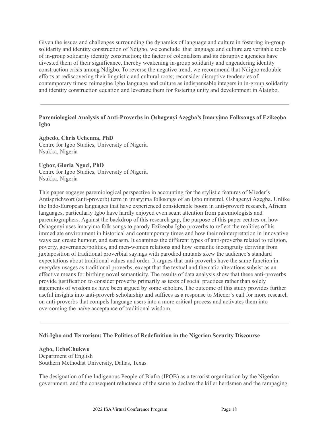Given the issues and challenges surrounding the dynamics of language and culture in fostering in-group solidarity and identity construction of Ndigbo, we conclude that language and culture are veritable tools of in-group solidarity identity construction; the factor of colonialism and its disruptive agencies have divested them of their significance, thereby weakening in-group solidarity and engendering identity construction crisis among Ndigbo. To reverse the negative trend, we recommend that Ndigbo redouble efforts at rediscovering their linguistic and cultural roots; reconsider disruptive tendencies of contemporary times; reimagine Igbo language and culture as indispensable integers in in-group solidarity and identity construction equation and leverage them for fostering unity and development in Alaigbo.

### **Paremiological Analysis of Anti-Proverbs in Ọshagenyi Azẹgba's Ịmaryịma Folksongs of Ezikeọba Igbo**

**Agbedo, Chris Uchenna, PhD** Centre for Igbo Studies, University of Nigeria Nsukka, Nigeria

#### **Ugbor, Gloria Ngozi, PhD**

Centre for Igbo Studies, University of Nigeria Nsukka, Nigeria

This paper engages paremiological perspective in accounting for the stylistic features of Mieder's Antisprichwort (anti-proverb) term in ịmaryịma folksongs of an Igbo minstrel, Oshagenyi Azẹgba. Unlike the Indo-European languages that have experienced considerable boom in anti-proverb research, African languages, particularly Igbo have hardly enjoyed even scant attention from paremiologists and paremiographers. Against the backdrop of this research gap, the purpose of this paper centres on how Oshagenyi uses imaryima folk songs to parody Ezikeọba Igbo proverbs to reflect the realities of his immediate environment in historical and contemporary times and how their reinterpretation in innovative ways can create humour, and sarcasm. It examines the different types of anti-proverbs related to religion, poverty, governance/politics, and men-women relations and how semantic incongruity deriving from juxtaposition of traditional proverbial sayings with parodied mutants skew the audience's standard expectations about traditional values and order. It argues that anti-proverbs have the same function in everyday usages as traditional proverbs, except that the textual and thematic alterations subsist as an effective means for birthing novel semanticity. The results of data analysis show that these anti-proverbs provide justification to consider proverbs primarily as texts of social practices rather than solely statements of wisdom as have been argued by some scholars. The outcome of this study provides further useful insights into anti-proverb scholarship and suffices as a response to Mieder's call for more research on anti-proverbs that compels language users into a more critical process and activates them into overcoming the naïve acceptance of traditional wisdom.

#### **Ndi-Igbo and Terrorism: The Politics of Redefinition in the Nigerian Security Discourse**

#### **Agbo, UcheChukwu**

Department of English Southern Methodist University, Dallas, Texas

The designation of the Indigenous People of Biafra (IPOB) as a terrorist organization by the Nigerian government, and the consequent reluctance of the same to declare the killer herdsmen and the rampaging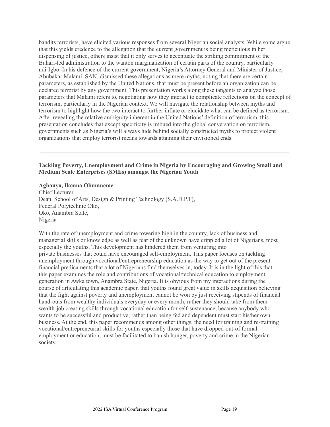bandits terrorists, have elicited various responses from several Nigerian social analysts. While some argue that this yields credence to the allegation that the current government is being meticulous in her dispensing of justice, others insist that it only serves to accentuate the striking commitment of the Buhari-led administration to the wanton marginalization of certain parts of the country, particularly ndi-Igbo. In his defence of the current government, Nigeria's Attorney General and Minister of Justice, Abubakar Malami, SAN, dismissed these allegations as mere myths, noting that there are certain parameters, as established by the United Nations, that must be present before an organization can be declared terrorist by any government. This presentation works along these tangents to analyze those parameters that Malami refers to, negotiating how they interact to complicate reflections on the concept of terrorism, particularly in the Nigerian context. We will navigate the relationship between myths and terrorism to highlight how the two interact to further inflate or elucidate what can be defined as terrorism. After revealing the relative ambiguity inherent in the United Nations' definition of terrorism, this presentation concludes that except specificity is imbued into the global conversation on terrorism, governments such as Nigeria's will always hide behind socially constructed myths to protect violent organizations that employ terrorist means towards attaining their envisioned ends.

### **Tackling Poverty, Unemployment and Crime in Nigeria by Encouraging and Growing Small and Medium Scale Enterprises (SMEs) amongst the Nigerian Youth**

# **Aghanya, Ikenna Obumneme**

Chief Lecturer Dean, School of Arts, Design & Printing Technology (S.A.D.P.T), Federal Polytechnic Oko, Oko, Anambra State, Nigeria

With the rate of unemployment and crime towering high in the country, lack of business and managerial skills or knowledge as well as fear of the unknown have crippled a lot of Nigerians, most especially the youths. This development has hindered them from venturing into private businesses that could have encouraged self-employment. This paper focuses on tackling unemployment through vocational/entrepreneurship education as the way to get out of the present financial predicaments that a lot of Nigerians find themselves in, today. It is in the light of this that this paper examines the role and contributions of vocational/technical education to employment generation in Awka town, Anambra State, Nigeria. It is obvious from my interactions during the course of articulating this academic paper, that youths found great value in skills acquisition believing that the fight against poverty and unemployment cannot be won by just receiving stipends of financial hand-outs from wealthy individuals everyday or every month, rather they should take from them wealth-job creating skills through vocational education for self-sustenance, because anybody who wants to be successful and productive, rather than being fed and dependent must start his/her own business. At the end, this paper recommends among other things, the need for training and re-training vocational/entrepreneurial skills for youths especially those that have dropped-out-of formal employment or education, must be facilitated to banish hunger, poverty and crime in the Nigerian society.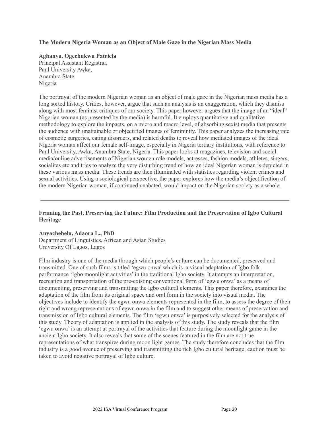#### **The Modern Nigeria Woman as an Object of Male Gaze in the Nigerian Mass Media**

### **Aghanya, Ogechukwu Patricia**

Principal Assistant Registrar, Paul University Awka, Anambra State Nigeria

The portrayal of the modern Nigerian woman as an object of male gaze in the Nigerian mass media has a long sorted history. Critics, however, argue that such an analysis is an exaggeration, which they dismiss along with most feminist critiques of our society. This paper however argues that the image of an "ideal" Nigerian woman (as presented by the media) is harmful. It employs quantitative and qualitative methodology to explore the impacts, on a micro and macro level, of absorbing sexist media that presents the audience with unattainable or objectified images of femininity. This paper analyzes the increasing rate of cosmetic surgeries, eating disorders, and related deaths to reveal how mediated images of the ideal Nigeria woman affect our female self-image, especially in Nigeria tertiary institutions, with reference to Paul University, Awka, Anambra State, Nigeria. This paper looks at magazines, television and social media/online advertisements of Nigerian women role models, actresses, fashion models, athletes, singers, socialites etc and tries to analyze the very disturbing trend of how an ideal Nigerian woman is depicted in these various mass media. These trends are then illuminated with statistics regarding violent crimes and sexual activities. Using a sociological perspective, the paper explores how the media's objectification of the modern Nigerian woman, if continued unabated, would impact on the Nigerian society as a whole.

#### **Framing the Past, Preserving the Future: Film Production and the Preservation of Igbo Cultural Heritage**

#### **Anyachebelu, Adaora L., PhD** Department of Linguistics, African and Asian Studies University Of Lagos, Lagos

Film industry is one of the media through which people's culture can be documented, preserved and transmitted. One of such films is titled 'egwu onwa' which is a visual adaptation of Igbo folk performance 'Igbo moonlight activities' in the traditional Igbo society. It attempts an interpretation, recreation and transportation of the pre-existing conventional form of 'egwu onwa' as a means of documenting, preserving and transmitting the Igbo cultural elements. This paper therefore, examines the adaptation of the film from its original space and oral form in the society into visual media. The objectives include to identify the egwu onwa elements represented in the film, to assess the degree of their right and wrong representations of egwu onwa in the film and to suggest other means of preservation and transmission of Igbo cultural elements. The film 'egwu onwa' is purposively selected for the analysis of this study. Theory of adaptation is applied in the analysis of this study. The study reveals that the film 'egwu onwa' is an attempt at portrayal of the activities that feature during the moonlight game in the ancient Igbo society. It also reveals that some of the scenes featured in the film are not true representations of what transpires during moon light games. The study therefore concludes that the film industry is a good avenue of preserving and transmitting the rich Igbo cultural heritage; caution must be taken to avoid negative portrayal of Igbo culture.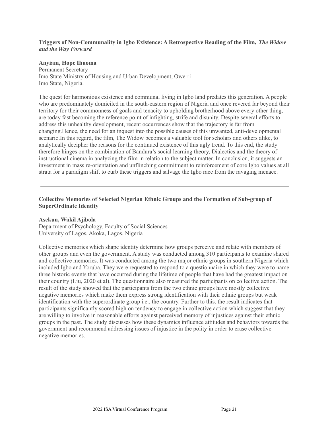### **Triggers of Non-Communality in Igbo Existence: A Retrospective Reading of the Film,** *The Widow and the Way Forward*

#### **Anyiam, Hope Ihuoma**

Permanent Secretary Imo State Ministry of Housing and Urban Development, Owerri Imo State, Nigeria.

The quest for harmonious existence and communal living in Igbo land predates this generation. A people who are predominately domiciled in the south-eastern region of Nigeria and once revered far beyond their territory for their commonness of goals and tenacity to upholding brotherhood above every other thing, are today fast becoming the reference point of infighting, strife and disunity. Despite several efforts to address this unhealthy development, recent occurrences show that the trajectory is far from changing.Hence, the need for an inquest into the possible causes of this unwanted, anti-developmental scenario.In this regard, the film, The Widow becomes a valuable tool for scholars and others alike, to analytically decipher the reasons for the continued existence of this ugly trend. To this end, the study therefore hinges on the combination of Bandura's social learning theory, Dialectics and the theory of instructional cinema in analyzing the film in relation to the subject matter. In conclusion, it suggests an investment in mass re-orientation and unflinching commitment to reinforcement of core Igbo values at all strata for a paradigm shift to curb these triggers and salvage the Igbo race from the ravaging menace.

#### **Collective Memories of Selected Nigerian Ethnic Groups and the Formation of Sub-group of SuperOrdinate Identity**

#### **Asekun, Wakil Ajibola**

Department of Psychology, Faculty of Social Sciences University of Lagos, Akoka, Lagos. Nigeria

Collective memories which shape identity determine how groups perceive and relate with members of other groups and even the government. A study was conducted among 310 participants to examine shared and collective memories. It was conducted among the two major ethnic groups in southern Nigeria which included Igbo and Yoruba. They were requested to respond to a questionnaire in which they were to name three historic events that have occurred during the lifetime of people that have had the greatest impact on their country (Liu, 2020 et al). The questionnaire also measured the participants on collective action. The result of the study showed that the participants from the two ethnic groups have mostly collective negative memories which make them express strong identification with their ethnic groups but weak identification with the superordinate group i.e., the country. Further to this, the result indicates that participants significantly scored high on tendency to engage in collective action which suggest that they are willing to involve in reasonable efforts against perceived memory of injustices against their ethnic groups in the past. The study discusses how these dynamics influence attitudes and behaviors towards the government and recommend addressing issues of injustice in the polity in order to erase collective negative memories.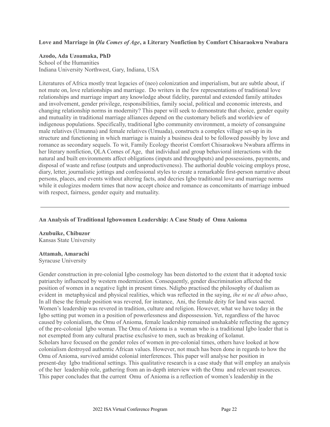#### **Love and Marriage in** *Ọla Comes of Age***, a Literary Nonfiction by Comfort Chisaraokwu Nwabara**

#### **Azodo, Ada Uzoamaka, PhD**

School of the Humanities Indiana University Northwest, Gary, Indiana, USA

Literatures of Africa mostly treat legacies of (neo) colonization and imperialism, but are subtle about, if not mute on, love relationships and marriage. Do writers in the few representations of traditional love relationships and marriage impart any knowledge about fidelity, parental and extended family attitudes and involvement, gender privilege, responsibilities, family social, political and economic interests, and changing relationship norms in modernity? This paper will seek to demonstrate that choice, gender equity and mutuality in traditional marriage alliances depend on the customary beliefs and worldview of indigenous populations. Specifically, traditional Igbo community environment, a moiety of consanguine male relatives (Umunna) and female relatives (Umuada), constructs a complex village set-up in its structure and functioning in which marriage is mainly a business deal to be followed possibly by love and romance as secondary sequels. To wit, Family Ecology theorist Comfort Chisaraokwu Nwabara affirms in her literary nonfiction, ỌLA Comes of Age, that individual and group behavioral interactions with the natural and built environments affect obligations (inputs and throughputs) and possessions, payments, and disposal of waste and refuse (outputs and unproductiveness). The authorial double voicing employs prose, diary, letter, journalistic jottings and confessional styles to create a remarkable first-person narrative about persons, places, and events without altering facts, and decries Igbo traditional love and marriage norms while it eulogizes modern times that now accept choice and romance as concomitants of marriage imbued with respect, fairness, gender equity and mutuality.

### **An Analysis of Traditional Igbowomen Leadership: A Case Study of Omu Anioma**

**Azubuike, Chibuzor** Kansas State University

#### **Attamah, Amarachi**

Syracuse University

Gender construction in pre-colonial Igbo cosmology has been distorted to the extent that it adopted toxic patriarchy influenced by western modernization. Consequently, gender discrimination affected the position of women in a negative light in present times. Ndigbo practised the philosophy of dualism as evident in metaphysical and physical realities, which was reflected in the saying, *ihe ni ne di abuo abuo*, In all these the female position was revered, for instance, Ani, the female deity for land was sacred. Women's leadership was revered in tradition, culture and religion. However, what we have today in the Igbo setting put women in a position of powerlessness and dispossession. Yet, regardless of the havoc caused by colonialism, the Omu of Anioma, female leadership remained unshakable reflecting the agency of the pre-colonial Igbo woman. The Omu of Anioma is a woman who is a traditional Igbo leader that is not exempted from any cultural practise exclusive to men, such as breaking of kolanut. Scholars have focused on the gender roles of women in pre-colonial times, others have looked at how colonialism destroyed authentic African values. However, not much has been done in regards to how the Omu of Anioma, survived amidst colonial interferences. This paper will analyse her position in present-day Igbo traditional settings. This qualitative research is a case study that will employ an analysis of the her leadership role, gathering from an in-depth interview with the Omu and relevant resources. This paper concludes that the current Omu of Anioma is a reflection of women's leadership in the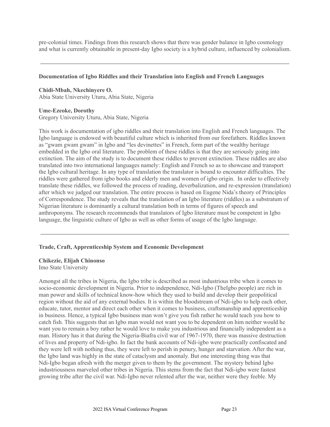pre-colonial times. Findings from this research shows that there was gender balance in Igbo cosmology and what is currently obtainable in present-day Igbo society is a hybrid culture, influenced by colonialism.

#### **Documentation of Igbo Riddles and their Translation into English and French Languages**

**Chidi-Mbah, Nkechinyere O.** Abia State University Uturu, Abia State, Nigeria

#### **Ume-Ezeoke, Dorothy**

Gregory University Uturu, Abia State, Nigeria

This work is documentation of igbo riddles and their translation into English and French languages. The Igbo language is endowed with beautiful culture which is inherited from our forefathers. Riddles known as "gwam gwam gwam" in Igbo and "les devinettes" in French, form part of the wealthy heritage embedded in the Igbo oral literature. The problem of these riddles is that they are seriously going into extinction. The aim of the study is to document these riddles to prevent extinction. These riddles are also translated into two international languages namely: English and French so as to showcase and transport the Igbo cultural heritage. In any type of translation the translator is bound to encounter difficulties. The riddles were gathered from igbo books and elderly men and women of igbo origin. In order to effectively translate these riddles, we followed the process of reading, deverbalization, and re-expression (translation) after which we judged our translation. The entire process is based on Eugene Nida's theory of Principles of Correspondence. The study reveals that the translation of an Igbo literature (riddles) as a substratum of Nigerian literature is dominantly a cultural translation both in terms of figures of speech and anthroponyms. The research recommends that translators of Igbo literature must be competent in Igbo language, the linguistic culture of Igbo as well as other forms of usage of the Igbo language.

#### **Trade, Craft, Apprenticeship System and Economic Development**

**Chikezie, Elijah Chinonso** Imo State University

Amongst all the tribes in Nigeria, the Igbo tribe is described as most industrious tribe when it comes to socio-economic development in Nigeria. Prior to independence, Ndi-Igbo (TheIgbo people) are rich in man power and skills of technical know-how which they used to build and develop their geopolitical region without the aid of any external bodies. It is within the bloodstream of Ndi-igbo to help each other, educate, tutor, mentor and direct each other when it comes to business, craftsmanship and apprenticeship in business. Hence, a typical Igbo business man won't give you fish rather he would teach you how to catch fish. This suggests that an Igbo man would not want you to be dependent on him neither would he want you to remain a boy rather he would love to make you industrious and financially independent as a man. History has it that during the Nigeria-Biafra civil war of 1967-1970, there was massive destruction of lives and property of Ndi-igbo. In fact the bank accounts of Ndi-igbo were practically confiscated and they were left with nothing thus, they were left to perish in penury, hunger and starvation. After the war, the Igbo land was highly in the state of cataclysm and anomaly. But one interesting thing was that Ndi-Igbo began afresh with the merger given to them by the government. The mystery behind Igbo industriousness marveled other tribes in Nigeria. This stems from the fact that Ndi-igbo were fastest growing tribe after the civil war. Ndi-Igbo never relented after the war, neither were they feeble. My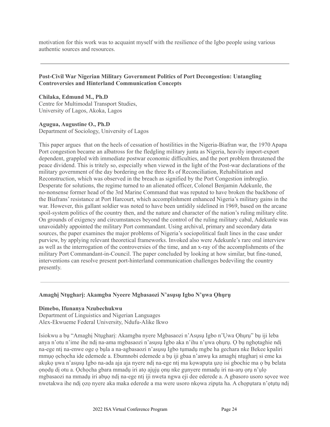motivation for this work was to acquaint myself with the resilience of the Igbo people using various authentic sources and resources.

### **Post-Civil War Nigerian Military Government Politics of Port Decongestion: Untangling Controversies and Hinterland Communication Concepts**

**Chilaka, Edmund M., Ph.D** Centre for Multimodal Transport Studies, University of Lagos, Akoka, Lagos

#### **Agugua, Augustine O., Ph.D**

Department of Sociology, University of Lagos

This paper argues that on the heels of cessation of hostilities in the Nigeria-Biafran war, the 1970 Apapa Port congestion became an albatross for the fledgling military junta as Nigeria, heavily import-export dependent, grappled with immediate postwar economic difficulties, and the port problem threatened the peace dividend. This is tritely so, especially when viewed in the light of the Post-war declarations of the military government of the day bordering on the three Rs of Reconciliation, Rehabilitation and Reconstruction, which was observed in the breach as signified by the Port Congestion imbroglio. Desperate for solutions, the regime turned to an alienated officer, Colonel Benjamin Adekunle, the no-nonsense former head of the 3rd Marine Command that was reputed to have broken the backbone of the Biafrans' resistance at Port Harcourt, which accomplishment enhanced Nigeria's military gains in the war. However, this gallant soldier was noted to have been untidily sidelined in 1969, based on the arcane spoil-system politics of the country then, and the nature and character of the nation's ruling military elite. On grounds of exigency and circumstances beyond the control of the ruling military cabal, Adekunle was unavoidably appointed the military Port commandant. Using archival, primary and secondary data sources, the paper examines the major problems of Nigeria's sociopolitical fault lines in the case under purview, by applying relevant theoretical frameworks. Invoked also were Adekunle's rare oral interview as well as the interrogation of the controversies of the time, and an x-ray of the accomplishments of the military Port Commandant-in-Council. The paper concluded by looking at how similar, but fine-tuned, interventions can resolve present port-hinterland communication challenges bedeviling the country presently.

#### **Amaghị Ntụgharị: Akamgba Nyeere Mgbasaozi N'asụsụ Igbo N'ụwa Ọhụrụ**

#### **Dimebo, Ifunanya Nzubechukwu**

Department of Linguistics and Nigerian Languages Alex-Ekwueme Federal University, Ndufu-Alike Ikwo

Isiokwu a bụ "Amaghị Ntụgharị: Akamgba nyere Mgbasaozi n'Asụsụ Igbo n'Ụwa Ọhụrụ" bụ iji leba anya n'otu n'ime ihe ndi na-ama mgbasaozi n'asusu Igbo aka n'ihu n'uwa ohuru. O bu nghotaghie ndi na-ege ntị na-enwe oge ọ bụla a na-agbasaozi n'asụsụ Igbo tụmadụ mgbe ha gechara nke Bekee kpaliri mmụọ ọchọcha ide edemede a. Ebumnobi edemede a bụ iji gbaa n'anwụ ka amaghị ntụgharị si eme ka akụkọ ụwa n'asụsụ Igbo na-ada aja aja nyere ndị na-ege ntị ma kọwapụta ụzọ isi gbochie ma ọ bụ belata ọnọdụ dị otu a. Ọchọcha gbara mmadụ iri atọ ajụjụ ọnụ nke gụnyere mmadụ iri na-arụ ọrụ n'ụlọ mgbasaozi na mmadụ iri abụọ ndị na-ege ntị iji nweta ngwa eji dee ederede a. A gbasoro usoro sọvee wee nwetakwa ihe ndị ọzọ nyere aka maka ederede a ma were usoro nkọwa zipụta ha. A chọpụtara n'ọtụtụ ndị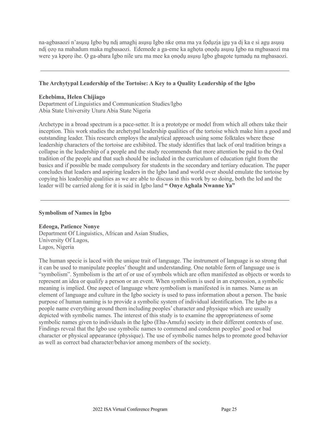na-agbasaozi n'asụsụ Igbo bụ ndị amaghị asụsụ Igbo nke ọma ma ya fọdụzịa ịgụ ya dị ka e si agụ asụsụ ndị ọzọ na mahadum maka mgbasaozi. Edemede a ga-eme ka aghọta ọnọdụ asụsụ Igbo na mgbasaozi ma were ya kpọrọ ihe. Ọ ga-abara Igbo nile uru ma mee ka ọnọdụ asụsụ Igbo gbagote tụmadụ na mgbasaozi.

#### **The Archytypal Leadership of the Tortoise: A Key to a Quality Leadership of the Igbo**

#### **Echebima, Helen Chijiago**

Department of Linguistics and Communication Studies/Igbo Abia State University Uturu Abia State Nigeria

Archetype in a broad spectrum is a pace-setter. It is a prototype or model from which all others take their inception. This work studies the archetypal leadership qualities of the tortoise which make him a good and outstanding leader. This research employs the analytical approach using some folktales where these leadership characters of the tortoise are exhibited. The study identifies that lack of oral tradition brings a collapse in the leadership of a people and the study recommends that more attention be paid to the Oral tradition of the people and that such should be included in the curriculum of education right from the basics and if possible be made compulsory for students in the secondary and tertiary education. The paper concludes that leaders and aspiring leaders in the Igbo land and world over should emulate the tortoise by copying his leadership qualities as we are able to discuss in this work by so doing, both the led and the leader will be carried along for it is said in Igbo land **" Onye Aghala Nwanne Ya"**

#### **Symbolism of Names in Igbo**

#### **Edeoga, Patience Nonye**

Department Of Linguistics, African and Asian Studies, University Of Lagos, Lagos, Nigeria

The human specie is laced with the unique trait of language. The instrument of language is so strong that it can be used to manipulate peoples' thought and understanding. One notable form of language use is "symbolism". Symbolism is the art of or use of symbols which are often manifested as objects or words to represent an idea or qualify a person or an event. When symbolism is used in an expression, a symbolic meaning is implied. One aspect of language where symbolism is manifested is in names. Name as an element of language and culture in the Igbo society is used to pass information about a person. The basic purpose of human naming is to provide a symbolic system of individual identification. The Igbo as a people name everything around them including peoples' character and physique which are usually depicted with symbolic names. The interest of this study is to examine the appropriateness of some symbolic names given to individuals in the Igbo (Eha-Amufu) society in their different contexts of use. Findings reveal that the Igbo use symbolic names to commend and condemn peoples' good or bad character or physical appearance (physique). The use of symbolic names helps to promote good behavior as well as correct bad character/behavior among members of the society.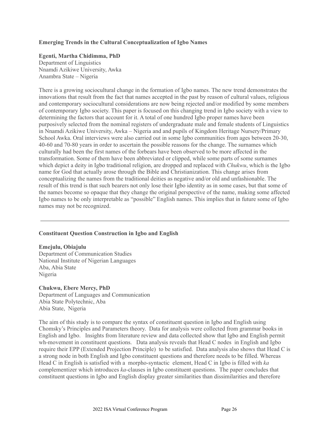#### **Emerging Trends in the Cultural Conceptualization of Igbo Names**

#### **Egenti, Martha Chidimma, PhD**

Department of Linguistics Nnamdi Azikiwe University, Awka Anambra State – Nigeria

There is a growing sociocultural change in the formation of Igbo names. The new trend demonstrates the innovations that result from the fact that names accepted in the past by reason of cultural values, religious and contemporary sociocultural considerations are now being rejected and/or modified by some members of contemporary Igbo society. This paper is focused on this changing trend in Igbo society with a view to determining the factors that account for it. A total of one hundred Igbo proper names have been purposively selected from the nominal registers of undergraduate male and female students of Linguistics in Nnamdi Azikiwe University, Awka – Nigeria and and pupils of Kingdom Heritage Nursery/Primary School Awka. Oral interviews were also carried out in some Igbo communities from ages between 20-30, 40-60 and 70-80 years in order to ascertain the possible reasons for the change. The surnames which culturally had been the first names of the forbears have been observed to be more affected in the transformation. Some of them have been abbreviated or clipped, while some parts of some surnames which depict a deity in Igbo traditional religion, are dropped and replaced with *Chukwu*, which is the Igbo name for God that actually arose through the Bible and Christianization. This change arises from conceptualizing the names from the traditional deities as negative and/or old and unfashionable. The result of this trend is that such bearers not only lose their Igbo identity as in some cases, but that some of the names become so opaque that they change the original perspective of the name, making some affected Igbo names to be only interpretable as "possible" English names. This implies that in future some of Igbo names may not be recognized.

#### **Constituent Question Construction in Igbo and English**

#### **Emejulu, Obiajulu**

Department of Communication Studies National Institute of Nigerian Languages Aba, Abia State Nigeria

# **Chukwu, Ebere Mercy, PhD**

Department of Languages and Communication Abia State Polytechnic, Aba Abia State, Nigeria

The aim of this study is to compare the syntax of constituent question in Igbo and English using Chomsky's Principles and Parameters theory. Data for analysis were collected from grammar books in English and Igbo. Insights from literature review and data collected show that Igbo and English permit wh-movement in constituent questions. Data analysis reveals that Head C nodes in English and Igbo require their EPP (Extended Projection Principle) to be satisfied. Data analysis also shows that Head C is a strong node in both English and Igbo constituent questions and therefore needs to be filled. Whereas Head C in English is satisfied with a morpho-syntactic element, Head C in Igbo is filled with *ka* complementizer which introduces *ka*-clauses in Igbo constituent questions. The paper concludes that constituent questions in Igbo and English display greater similarities than dissimilarities and therefore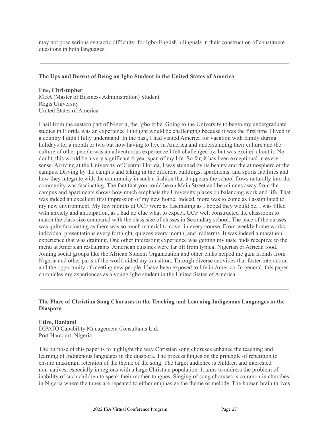may not pose serious syntactic difficulty for Igbo-English bilinguals in their construction of constituent questions in both languages.

#### **The Ups and Downs of Being an Igbo Student in the United States of America**

**Ene, Christopher** MBA (Master of Business Administration) Student Regis University United States of America

I hail from the eastern part of Nigeria, the Igbo tribe. Going to the University to begin my undergraduate studies in Florida was an experience I thought would be challenging because it was the first time I lived in a country I didn't fully understand. In the past, I had visited America for vacation with family during holidays for a month or two but now having to live in America and understanding their culture and the culture of other people was an adventurous experience I felt challenged by, but was excited about it. No doubt, this would be a very significant 4-year span of my life. So far, it has been exceptional in every sense. Arriving at the University of Central Florida, I was stunned by its beauty and the atmosphere of the campus. Driving by the campus and taking in the different buildings, apartments, and sports facilities and how they integrate with the community in such a fashion that it appears the school flows naturally into the community was fascinating. The fact that you could be on Main Street and be minutes away from the campus and apartments shows how much emphasis the University places on balancing work and life. That was indeed an excellent first impression of my new home. Indeed, more was to come as I assimilated to my new environment. My few months at UCF were as fascinating as I hoped they would be. I was filled with anxiety and anticipation, as I had no clue what to expect. UCF well constructed the classroom to match the class size compared with the class size of classes in Secondary school. The pace of the classes was quite fascinating as there was so much material to cover in every course. From weekly home works, individual presentations every fortnight, quizzes every month, and midterms. It was indeed a marathon experience that was draining. One other interesting experience was getting my taste buds receptive to the menu at American restaurants. American cuisines were far off from typical Nigerian or African food. Joining social groups like the African Student Organization and other clubs helped me gain friends from Nigeria and other parts of the world aided my transition. Through diverse activities that foster interaction and the opportunity of meeting new people, I have been exposed to life in America. In general, this paper chronicles my experiences as a young Igbo student in the United States of America.

#### **The Place of Christian Song Choruses in the Teaching and Learning Indigenous Languages in the Diaspora**

#### **Etire, Daniami**

DIPATO Capability Management Consultants Ltd, Port Harcourt, Nigeria

The purpose of this paper is to highlight the way Christian song choruses enhance the teaching and learning of Indigenous languages in the diaspora. The process hinges on the principle of repetition to ensure maximum retention of the theme of the song. The target audience is children and interested non-natives, especially in regions with a large Christian population. It aims to address the problem of inability of such children to speak their mother-tongues. Singing of song choruses is common in churches in Nigeria where the tunes are repeated to either emphasize the theme or melody. The human brain thrives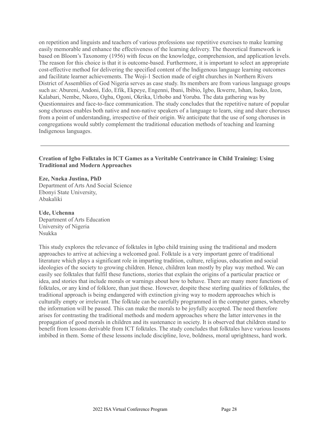on repetition and linguists and teachers of various professions use repetitive exercises to make learning easily memorable and enhance the effectiveness of the learning delivery. The theoretical framework is based on Bloom's Taxonomy (1956) with focus on the knowledge, comprehension, and application levels. The reason for this choice is that it is outcome-based. Furthermore, it is important to select an appropriate cost-effective method for delivering the specified content of the Indigenous language learning outcomes and facilitate learner achievements. The Woji-1 Section made of eight churches in Northern Rivers District of Assemblies of God Nigeria serves as case study. Its members are from various language groups such as: Abureni, Andoni, Edo, Efik, Ekpeye, Engenni, Ibani, Ibibio, Igbo, Ikwerre, Ishan, Isoko, Izon, Kalabari, Nembe, Nkoro, Ogba, Ogoni, Okrika, Urhobo and Yoruba. The data gathering was by Questionnaires and face-to-face communication. The study concludes that the repetitive nature of popular song choruses enables both native and non-native speakers of a language to learn, sing and share choruses from a point of understanding, irrespective of their origin. We anticipate that the use of song choruses in congregations would subtly complement the traditional education methods of teaching and learning Indigenous languages.

#### **Creation of Igbo Folktales in ICT Games as a Veritable Contrivance in Child Training: Using Traditional and Modern Approaches**

**Eze, Nneka Justina, PhD** Department of Arts And Social Science Ebonyi State University, Abakaliki

**Ude, Uchenna** Department of Arts Education University of Nigeria Nsukka

This study explores the relevance of folktales in Igbo child training using the traditional and modern approaches to arrive at achieving a welcomed goal. Folktale is a very important genre of traditional literature which plays a significant role in imparting tradition, culture, religious, education and social ideologies of the society to growing children. Hence, children lean mostly by play way method. We can easily see folktales that fulfil these functions, stories that explain the origins of a particular practice or idea, and stories that include morals or warnings about how to behave. There are many more functions of folktales, or any kind of folklore, than just these. However, despite these sterling qualities of folktales, the traditional approach is being endangered with extinction giving way to modern approaches which is culturally empty or irrelevant. The folktale can be carefully programmed in the computer games, whereby the information will be passed. This can make the morals to be joyfully accepted. The need therefore arises for contrasting the traditional methods and modern approaches where the latter intervenes in the propagation of good morals in children and its sustenance in society. It is observed that children stand to benefit from lessons derivable from ICT folktales. The study concludes that folktales have various lessons imbibed in them. Some of these lessons include discipline, love, boldness, moral uprightness, hard work.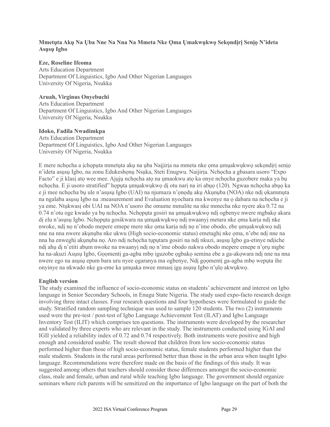### **Mmetụta Akụ Na Ụba Nne Na Nna Na Mmeta Nke Ọma Ụmakwụkwọ Sekọndịrị Senịọ N'ideta Asụsụ Igbo**

#### **Eze, Roseline Ifeoma**

Arts Education Department Department Of Linguistics, Igbo And Other Nigerian Languages University Of Nigeria, Nsukka

#### **Aruah, Virginus Onyebuchi**

Arts Education Department Department Of Linguistics, Igbo And Other Nigerian Languages University Of Nigeria, Nsukka

#### **Idoko, Fadila Nwadimkpa**

Arts Education Department Department Of Linguistics, Igbo And Other Nigerian Languages University Of Nigeria, Nsukka

E mere nchọcha a ịchọpụta mmetụta akụ na ụba Naịjirịa na mmeta nke ọma ụmụakwụkwọ sekọndịrị senịọ n'ideta asusu Igbo, na zonu Edukeshonu Nsuka, Steti Enugwu. Naijiria. Nchocha a gbasara usoro "Expo Facto" e ji klasi ato wee mee. Ajuju nchocha ato na umaokwu ato ka onye nchocha guzobere maka ya bu nchọcha. E ji usoro stratified" họputa umuakwukwo di otu nari na iri abuo (120). Ngwaa nchọcha abuo ka e ji mee nchọcha bụ ule n'asụsụ Igbo (UAI) na njumaza n'ọnọdụ akụ Akụnụba (NOA) nke ndị ọkammụta na ngalaba asusu Igbo na :measurement and Evaluation nyochara ma kwenye na o dabara na nchocha e ji ya eme. Ntụkwasị obi UAI na NOA n'usoro ihe omume mmalite na nke mmecha nke nyere aka 0.72 na 0.74 n'otu oge kwado ya bụ nchọcha. Nchọpụta gosiri na ụmụakwụkwọ ndị ogbenye nwere mgbakọ akara dị elu n'asụsụ Igbo. Nchọpụta gosikwara na ụmụakwụkwọ ndị nwaanyị metara nke ọma karịa ndị nke nwoke, ndi no n'obodo mepere emepe mere nke oma karia ndi no n'ime obodo, ebe umuakwukwo ndi nne na nna nwere akụnụba nke ukwu (High socio-economic status) emetaghị nke ọma, n'ebe ndị nne na nna ha enweghị akụnụba nọ. Aro ndị nchọcha tụpụtara gosiri na ndị nkuzi, asụsụ Igbo ga-etinye ndịiche ndị ahụ dị n'etiti abụm nwoke na nwaanyị ndị nọ n'ime obodo nakwa obodo mepere emepe n'ọrụ mgbe ha na-akuzi Asụsụ Igbo, Gọọmentị ga-agba mbọ iguzobe ọgbakọ semina ebe a ga-akọwara ndị nne na nna nwere ego na asụsụ epum bara uru nyee ọgaranya ma ogbenye, Ndị gọọmentị ga-agba mbọ wepụta ihe onyinye na nkwado nke ga-eme ka ụmụaka nwee mmasị ịgụ asụsụ Igbo n'ụlọ akwụkwọ.

#### **English version**

The study examined the influence of socio-economic status on students' achievement and interest on Igbo language in Senior Secondary Schools, in Enugu State Nigeria. The study used expo-facto research design involving three intact classes. Four research questions and four hypotheses were formulated to guide the study. Stratified random sampling technique was used to sample 120 students. The two (2) instruments used were the pre-test / post-test of Igbo Language Achievement Test (ILAT) and Igbo Language Inventory Test (ILIT) which comprises ten questions. The instruments were developed by the researcher and validated by three experts who are relevant in the study. The instruments conducted using IGAI and IGII yielded a reliability index of 0.72 and 0.74 respectively. Both instruments were positive and high enough and considered usable. The result showed that children from low socio-economic status performed higher than those of high socio-economic status, female students performed higher than the male students. Students in the rural areas performed better than those in the urban area when taught Igbo language. Recommendations were therefore made on the basis of the findings of this study. It was suggested among others that teachers should consider those differences amongst the socio-economic class, male and female, urban and rural while teaching Igbo language. The government should organize seminars where rich parents will be sensitized on the importance of Igbo language on the part of both the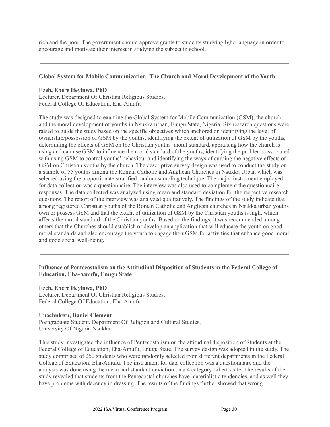rich and the poor. The government should approve grants to students studying Igbo language in order to encourage and motivate their interest in studying the subject in school.

#### **Global System for Mobile Communication: The Church and Moral Development of the Youth**

#### **Ezeh, Ebere Ifeyinwa, PhD**

Lecturer, Department Of Christian Religious Studies, Federal College Of Education, Eha-Amufu

The study was designed to examine the Global System for Mobile Communication (GSM), the church and the moral development of youths in Nsukka urban, Enugu State, Nigeria. Six research questions were raised to guide the study based on the specific objectives which anchored on identifying the level of ownership/possession of GSM by the youths, identifying the extent of utilization of GSM by the youths, determining the effects of GSM on the Christian youths' moral standard, appraising how the church is using and can use GSM to influence the moral standard of the youths, identifying the problems associated with using GSM to control youths' behaviour and identifying the ways of curbing the negative effects of GSM on Christian youths by the church. The descriptive survey design was used to conduct the study on a sample of 55 youths among the Roman Catholic and Anglican Churches in Nsukka Urban which was selected using the proportionate stratified random sampling technique. The major instrument employed for data collection was a questionnaire. The interview was also used to complement the questionnaire responses. The data collected was analyzed using mean and standard deviation for the respective research questions. The report of the interview was analyzed qualitatively. The findings of the study indicate that among registered Christian youths of the Roman Catholic and Anglican churches in Nsukka urban youths own or possess GSM and that the extent of utilization of GSM by the Christian youths is high, which affects the moral standard of the Christian youths. Based on the findings, it was recommended among others that the Churches should establish or develop an application that will educate the youth on good moral standards and also encourage the youth to engage their GSM for activities that enhance good moral and good social well-being,

### **Influence of Pentecostalism on the Attitudinal Disposition of Students in the Federal College of Education, Eha-Amufu, Enugu State**

#### **Ezeh, Ebere Ifeyinwa, PhD**

Lecturer, Department Of Christian Religious Studies, Federal College Of Education, Eha-Amufu

#### **Unachukwu, Daniel Clement**

Postgraduate Student, Department Of Religion and Cultural Studies, University Of Nigeria Nsukka

This study investigated the influence of Pentecostalism on the attitudinal disposition of Students at the Federal College of Education, Eha-Amufu, Enugu State. The survey design was adopted in the study. The study comprised of 250 students who were randomly selected from different departments in the Federal College of Education, Eha-Amufu. The instrument for data collection was a questionnaire and the analysis was done using the mean and standard deviation on a 4 category Likert scale. The results of the study revealed that students from the Pentecostal churches have materialistic tendencies, and as well they have problems with decency in dressing. The results of the findings further showed that wrong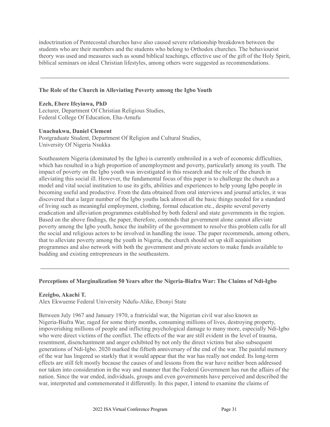indoctrination of Pentecostal churches have also caused severe relationship breakdown between the students who are their members and the students who belong to Orthodox churches. The behaviourist theory was used and measures such as sound biblical teachings, effective use of the gift of the Holy Spirit, biblical seminars on ideal Christian lifestyles, among others were suggested as recommendations.

#### **The Role of the Church in Alleviating Poverty among the Igbo Youth**

#### **Ezeh, Ebere Ifeyinwa, PhD**

Lecturer, Department Of Christian Religious Studies, Federal College Of Education, Eha-Amufu

#### **Unachukwu, Daniel Clement**

Postgraduate Student, Department Of Religion and Cultural Studies, University Of Nigeria Nsukka

Southeastern Nigeria (dominated by the Igbo) is currently embroiled in a web of economic difficulties, which has resulted in a high proportion of unemployment and poverty, particularly among its youth. The impact of poverty on the Igbo youth was investigated in this research and the role of the church in alleviating this social ill. However, the fundamental focus of this paper is to challenge the church as a model and vital social institution to use its gifts, abilities and experiences to help young Igbo people in becoming useful and productive. From the data obtained from oral interviews and journal articles, it was discovered that a larger number of the Igbo youths lack almost all the basic things needed for a standard of living such as meaningful employment, clothing, formal education etc., despite several poverty eradication and alleviation programmes established by both federal and state governments in the region. Based on the above findings, the paper, therefore, contends that government alone cannot alleviate poverty among the Igbo youth, hence the inability of the government to resolve this problem calls for all the social and religious actors to be involved in handling the issue. The paper recommends, among others, that to alleviate poverty among the youth in Nigeria, the church should set up skill acquisition programmes and also network with both the government and private sectors to make funds available to budding and existing entrepreneurs in the southeastern.

#### **Perceptions of Marginalization 50 Years after the Nigeria-Biafra War: The Claims of Ndi-Igbo**

#### **Ezeigbo, Akachi T.**

Alex Ekwueme Federal University Ndufu-Alike, Ebonyi State

Between July 1967 and January 1970, a fratricidal war, the Nigerian civil war also known as Nigeria-Biafra War, raged for some thirty months, consuming millions of lives, destroying property, impoverishing millions of people and inflicting psychological damage to many more, especially Ndi-Igbo who were direct victims of the conflict. The effects of the war are still evident in the level of trauma, resentment, disenchantment and anger exhibited by not only the direct victims but also subsequent generations of Ndi-Igbo. 2020 marked the fiftieth anniversary of the end of the war. The painful memory of the war has lingered so starkly that it would appear that the war has really not ended. Its long-term effects are still felt mostly because the causes of and lessons from the war have neither been addressed nor taken into consideration in the way and manner that the Federal Government has run the affairs of the nation. Since the war ended, individuals, groups and even governments have perceived and described the war, interpreted and commemorated it differently. In this paper, I intend to examine the claims of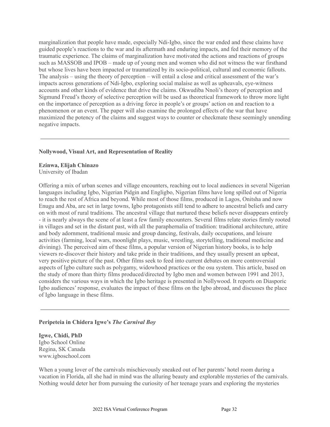marginalization that people have made, especially Ndi-Igbo, since the war ended and these claims have guided people's reactions to the war and its aftermath and enduring impacts, and fed their memory of the traumatic experience. The claims of marginalization have motivated the actions and reactions of groups such as MASSOB and IPOB – made up of young men and women who did not witness the war firsthand but whose lives have been impacted or traumatized by its socio-political, cultural and economic fallouts. The analysis – using the theory of perception – will entail a close and critical assessment of the war's impacts across generations of Ndi-Igbo, exploring social malaise as well as upheavals, eye-witness accounts and other kinds of evidence that drive the claims. Okwudiba Nnoli's theory of perception and Sigmund Freud's theory of selective perception will be used as theoretical framework to throw more light on the importance of perception as a driving force in people's or groups' action on and reaction to a phenomenon or an event. The paper will also examine the prolonged effects of the war that have maximized the potency of the claims and suggest ways to counter or checkmate these seemingly unending negative impacts.

#### **Nollywood, Visual Art, and Representation of Reality**

#### **Ezinwa, Elijah Chinazo**

University of Ibadan

Offering a mix of urban scenes and village encounters, reaching out to local audiences in several Nigerian languages including Igbo, Nigerian Pidgin and Engligbo, Nigerian films have long spilled out of Nigeria to reach the rest of Africa and beyond. While most of those films, produced in Lagos, Onitsha and now Enugu and Aba, are set in large towns, Igbo protagonists still tend to adhere to ancestral beliefs and carry on with most of rural traditions. The ancestral village that nurtured these beliefs never disappears entirely - it is nearly always the scene of at least a few family encounters. Several films relate stories firmly rooted in villages and set in the distant past, with all the paraphernalia of tradition: traditional architecture, attire and body adornment, traditional music and group dancing, festivals, daily occupations, and leisure activities (farming, local wars, moonlight plays, music, wrestling, storytelling, traditional medicine and divining). The perceived aim of these films, a popular version of Nigerian history books, is to help viewers re-discover their history and take pride in their traditions, and they usually present an upbeat, very positive picture of the past. Other films seek to feed into current debates on more controversial aspects of Igbo culture such as polygamy, widowhood practices or the osu system. This article, based on the study of more than thirty films produced/directed by Igbo men and women between 1991 and 2013, considers the various ways in which the Igbo heritage is presented in Nollywood. It reports on Diasporic Igbo audiences' response, evaluates the impact of these films on the Igbo abroad, and discusses the place of Igbo language in these films.

#### **Peripeteia in Chidera Igwe's** *The Carnival Boy*

**Igwe, Chidi, PhD** Igbo School Online Regina, SK Canada www.igboschool.com

When a young lover of the carnivals mischievously sneaked out of her parents' hotel room during a vacation in Florida, all she had in mind was the alluring beauty and explorable mysteries of the carnivals. Nothing would deter her from pursuing the curiosity of her teenage years and exploring the mysteries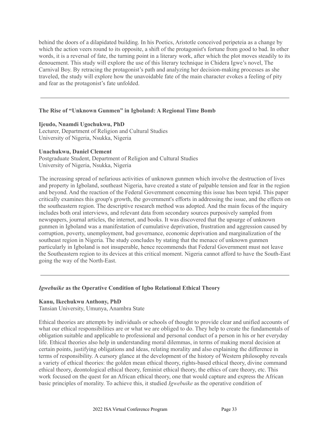behind the doors of a dilapidated building. In his Poetics, Aristotle conceived peripeteia as a change by which the action veers round to its opposite, a shift of the protagonist's fortune from good to bad. In other words, it is a reversal of fate, the turning point in a literary work, after which the plot moves steadily to its denouement. This study will explore the use of this literary technique in Chidera Igwe's novel, The Carnival Boy. By retracing the protagonist's path and analyzing her decision-making processes as she traveled, the study will explore how the unavoidable fate of the main character evokes a feeling of pity and fear as the protagonist's fate unfolded.

#### **The Rise of "Unknown Gunmen" in Igboland: A Regional Time Bomb**

#### **Ijeudo, Nnamdi Ugochukwu, PhD**

Lecturer, Department of Religion and Cultural Studies University of Nigeria, Nsukka, Nigeria

#### **Unachukwu, Daniel Clement**

Postgraduate Student, Department of Religion and Cultural Studies University of Nigeria, Nsukka, Nigeria

The increasing spread of nefarious activities of unknown gunmen which involve the destruction of lives and property in Igboland, southeast Nigeria, have created a state of palpable tension and fear in the region and beyond. And the reaction of the Federal Government concerning this issue has been tepid. This paper critically examines this group's growth, the government's efforts in addressing the issue, and the effects on the southeastern region. The descriptive research method was adopted. And the main focus of the inquiry includes both oral interviews, and relevant data from secondary sources purposively sampled from newspapers, journal articles, the internet, and books. It was discovered that the upsurge of unknown gunmen in Igboland was a manifestation of cumulative deprivation, frustration and aggression caused by corruption, poverty, unemployment, bad governance, economic deprivation and marginalization of the southeast region in Nigeria. The study concludes by stating that the menace of unknown gunmen particularly in Igboland is not insuperable, hence recommends that Federal Government must not leave the Southeastern region to its devices at this critical moment. Nigeria cannot afford to have the South-East going the way of the North-East.

#### *Igwebuike* **as the Operative Condition of Igbo Relational Ethical Theory**

#### **Kanu, Ikechukwu Anthony, PhD**

Tansian University, Umunya, Anambra State

Ethical theories are attempts by individuals or schools of thought to provide clear and unified accounts of what our ethical responsibilities are or what we are obliged to do. They help to create the fundamentals of obligation suitable and applicable to professional and personal conduct of a person in his or her everyday life. Ethical theories also help in understanding moral dilemmas, in terms of making moral decision at certain points, justifying obligations and ideas, relating morality and also explaining the difference in terms of responsibility. A cursory glance at the development of the history of Western philosophy reveals a variety of ethical theories: the golden mean ethical theory, rights-based ethical theory, divine command ethical theory, deontological ethical theory, feminist ethical theory, the ethics of care theory, etc. This work focused on the quest for an African ethical theory, one that would capture and express the African basic principles of morality. To achieve this, it studied *Igwebuike* as the operative condition of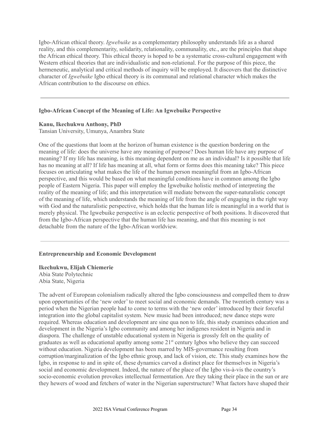Igbo-African ethical theory. *Igwebuike* as a complementary philosophy understands life as a shared reality, and this complementarity, solidarity, relationality, communality, etc., are the principles that shape the African ethical theory. This ethical theory is hoped to be a systematic cross-cultural engagement with Western ethical theories that are individualistic and non-relational. For the purpose of this piece, the hermeneutic, analytical and critical methods of inquiry will be employed. It discovers that the distinctive character of *Igwebuike* Igbo ethical theory is its communal and relational character which makes the African contribution to the discourse on ethics.

#### **Igbo-African Concept of the Meaning of Life: An Igwebuike Perspective**

#### **Kanu, Ikechukwu Anthony, PhD**

Tansian University, Umunya, Anambra State

One of the questions that loom at the horizon of human existence is the question bordering on the meaning of life: does the universe have any meaning of purpose? Does human life have any purpose of meaning? If my life has meaning, is this meaning dependent on me as an individual? Is it possible that life has no meaning at all? If life has meaning at all, what form or forms does this meaning take? This piece focuses on articulating what makes the life of the human person meaningful from an Igbo-African perspective, and this would be based on what meaningful conditions have in common among the Igbo people of Eastern Nigeria. This paper will employ the Igwebuike holistic method of interpreting the reality of the meaning of life; and this interpretation will mediate between the super-naturalistic concept of the meaning of life, which understands the meaning of life from the angle of engaging in the right way with God and the naturalistic perspective, which holds that the human life is meaningful in a world that is merely physical. The Igwebuike perspective is an eclectic perspective of both positions. It discovered that from the Igbo-African perspective that the human life has meaning, and that this meaning is not detachable from the nature of the Igbo-African worldview.

#### **Entrepreneurship and Economic Development**

**Ikechukwu, Elijah Chiemerie** Abia State Polytechnic Abia State, Nigeria

The advent of European colonialism radically altered the Igbo consciousness and compelled them to draw upon opportunities of the 'new order' to meet social and economic demands. The twentieth century was a period when the Nigerian people had to come to terms with the 'new order' introduced by their forceful integration into the global capitalist system. New music had been introduced; new dance steps were required. Whereas education and development are sine qua non to life, this study examines education and development in the Nigeria's Igbo community and among her indigenes resident in Nigeria and in diaspora. The challenge of unstable educational system in Nigeria is grossly felt on the quality of graduates as well as educational apathy among some 21<sup>st</sup> century Igbos who believe they can succeed without education. Nigeria development has been marred by MIS-governance resulting from corruption/marginalization of the Igbo ethnic group, and lack of vision, etc. This study examines how the Igbo, in response to and in spite of, these dynamics carved a distinct place for themselves in Nigeria's social and economic development. Indeed, the nature of the place of the Igbo vis-à-vis the country's socio-economic evolution provokes intellectual fermentation. Are they taking their place in the sun or are they hewers of wood and fetchers of water in the Nigerian superstructure? What factors have shaped their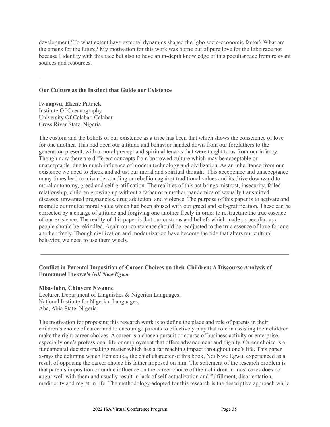development? To what extent have external dynamics shaped the Igbo socio-economic factor? What are the omens for the future? My motivation for this work was borne out of pure love for the Igbo race not because I identify with this race but also to have an in-depth knowledge of this peculiar race from relevant sources and resources.

#### **Our Culture as the Instinct that Guide our Existence**

**Iwuagwu, Ekene Patrick** Institute Of Oceanography University Of Calabar, Calabar Cross River State, Nigeria

The custom and the beliefs of our existence as a tribe has been that which shows the conscience of love for one another. This had been our attitude and behavior handed down from our forefathers to the generation present, with a moral precept and spiritual tenacts that were taught to us from our infancy. Though now there are different concepts from borrowed culture which may be acceptable or unacceptable, due to much influence of modern technology and civilization. As an inheritance from our existence we need to check and adjust our moral and spiritual thought. This acceptance and unacceptance many times lead to misunderstanding or rebellion against traditional values and its drive downward to moral autonomy, greed and self-gratification. The realities of this act brings mistrust, insecurity, failed relationship, children growing up without a father or a mother, pandemics of sexually transmitted diseases, unwanted pregnancies, drug addiction, and violence. The purpose of this paper is to activate and rekindle our muted moral value which had been abused with our greed and self-gratification. These can be corrected by a change of attitude and forgiving one another freely in order to restructure the true essence of our existence. The reality of this paper is that our customs and beliefs which made us peculiar as a people should be rekindled. Again our conscience should be readjusted to the true essence of love for one another freely. Though civilization and modernization have become the tide that alters our cultural behavior, we need to use them wisely.

### **Conflict in Parental Imposition of Career Choices on their Children: A Discourse Analysis of Emmanuel Ibekwe's** *Ndi Nwe Egwu*

#### **Mba-John, Chinyere Nwanne**

Lecturer, Department of Linguistics & Nigerian Languages, National Institute for Nigerian Languages, Aba, Abia State, Nigeria

The motivation for proposing this research work is to define the place and role of parents in their children's choice of career and to encourage parents to effectively play that role in assisting their children make the right career choices. A career is a chosen pursuit or course of business activity or enterprise, especially one's professional life or employment that offers advancement and dignity. Career choice is a fundamental decision-making matter which has a far reaching impact throughout one's life. This paper x-rays the delimma which Echiebuka, the chief character of this book, Ndi Nwe Egwu, experienced as a result of opposing the career choice his father imposed on him. The statement of the research problem is that parents imposition or undue influence on the career choice of their children in most cases does not augur well with them and usually result in lack of self-actualization and fulfillment, disorientation, mediocrity and regret in life. The methodology adopted for this research is the descriptive approach while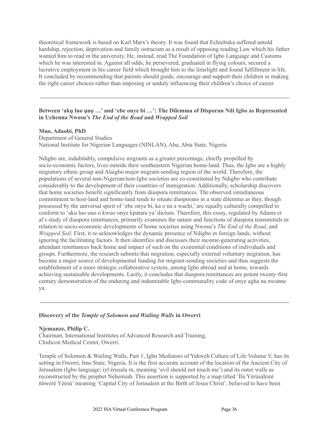theoretical framework is based on Karl Marx's theory. It was found that Echiebuka suffered untold hardship, rejection, deprivation and family ostracism as a result of opposing reading Law which his father wanted him to read in the university. He, instead, read The Foundation of Igbo Language and Customs which he was interested in. Against all odds, he persevered, graduated in flying colours, secured a lucrative employment in his career field which brought him to the limelight and found fulfillment in life. It concluded by recommending that parents should guide, encourage and support their children in making the right career choices rather than imposing or unduly influencing their children's choice of career.

### **Between 'akụ luo ụnọ …' and 'ebe onye bi …': The Dilemma of Disporan Ndi Igbo as Represented in Uchenna Nwosu's** *The End of the Road* **and** *Wrapped Soil*

#### **Muo, Adaobi, PhD**

Department of General Studies National Institute for Nigerian Languages (NINLAN), Aba, Abia State, Nigeria

Ndigbo are, indubitably, compulsive migrants as a greater percentage, chiefly propelled by socio-economic factors, lives outside their southeastern Nigerian home-land. Thus, the Igbo are a highly migratory ethnic group and Alaigbo major migrant-sending region of the world. Therefore, the populations of several non-Nigerian/non-Igbo societies are co-constituted by Ndigbo who contribute considerably to the development of their countries of immigration. Additionally, scholarship discovers that home societies benefit significantly from diaspora remittances. The observed simultaneous commitment to host-land and home-land tends to situate diasporans in a state dilemma as they, though possessed by the universal spirit of 'ebe onye bi, ka o na a wachi,' are equally culturally compelled to conform to 'aku luo uno o kwuo onye kpatara ya' dictum. Therefore, this essay, regulated by Adams et al's study of diaspora remittances, primarily examines the nature and functions of diaspora transmittals in relation to socio-economic developments of home societies using Nwosu's *The End of the Road*, and *Wrapped Soil*. First, it re-acknowledges the dynamic presence of Ndigbo in foreign lands, without ignoring the facilitating factors. It then identifies and discusses their income-generating activities, attendant remittances back home and impact of such on the existential conditions of individuals and groups. Furthermore, the research submits that migration, especially external voluntary migration, has become a major source of developmental funding for migrant-sending societies and thus suggests the establishment of a more strategic collaborative system, among Igbo abroad and at home, towards achieving sustainable developments. Lastly, it concludes that diaspora remittances are potent twenty-first century demonstration of the enduring and indomitable Igbo communality code of onye agha na nwanne ya.

#### **Discovery of the** *Temple of Solomon and Wailing Walls* **in Owerri**

#### **Njemanze, Philip C.**

Chairman, International Institutes of Advanced Research and Training, Chidicon Medical Center, Owerri.

Temple of Solomon & Wailing Walls, Part 1, Igbo Mediators of Yahweh Culture of Life Volume V, has its setting in Owerri, Imo State, Nigeria. It is the first accurate account of the location of the Ancient City of Jerusalem (Igbo language: iyī érusala m, meaning 'evil should not touch me') and its outer walls as reconstructed by the prophet Nehemiah. This assertion is supported by a map titled 'Ìlú Yèrúsàlέmì ńǹwèrè Yèésú' meaning 'Capital City of Jerusalem at the Birth of Jesus Christ', believed to have been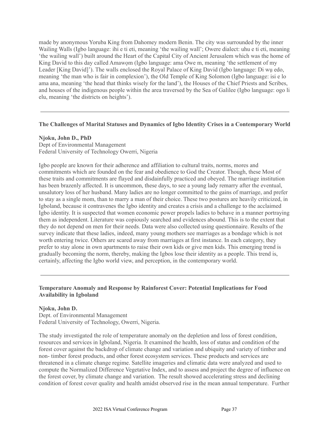made by anonymous Yoruba King from Dahomey modern Benin. The city was surrounded by the inner Wailing Walls (Igbo language: ihi e ti eti, meaning 'the wailing wall'; Owere dialect: uhu e ti eti, meaning 'the wailing wall') built around the Heart of the Capital City of Ancient Jerusalem which was the home of King David to this day called Amawom (Igbo language: ama Owe m, meaning 'the settlement of my Leader [King David]'). The walls enclosed the Royal Palace of King David (Igbo language: Di wụ edo, meaning 'the man who is fair in complexion'), the Old Temple of King Solomon (Igbo language: isi e lo ama ana, meaning 'the head that thinks wisely for the land'), the Houses of the Chief Priests and Scribes, and houses of the indigenous people within the area traversed by the Sea of Galilee (Igbo language: ogo li elu, meaning 'the districts on heights').

### **The Challenges of Marital Statuses and Dynamics of Igbo Identity Crises in a Contemporary World**

#### **Njoku, John D., PhD**

Dept of Environmental Management Federal University of Technology Owerri, Nigeria

Igbo people are known for their adherence and affiliation to cultural traits, norms, mores and commitments which are founded on the fear and obedience to God the Creator. Though, these Most of these traits and commitments are flayed and disdainfully practiced and obeyed. The marriage institution has been brazenly affected. It is uncommon, these days, to see a young lady remarry after the eventual, unsalutory loss of her husband. Many ladies are no longer committed to the gains of marriage, and prefer to stay as a single mom, than to marry a man of their choice. These two postures are heavily criticized, in Igboland, because it contravenes the Igbo identity and creates a crisis and a challenge to the acclaimed Igbo identity. It is suspected that women economic power propels ladies to behave in a manner portraying them as independent. Literature was copiously searched and evidences abound. This is to the extent that they do not depend on men for their needs. Data were also collected using questionnaire. Results of the survey indicate that these ladies, indeed, many young mothers see marriages as a bondage which is not worth entering twice. Others are scared away from marriages at first instance. In each category, they prefer to stay alone in own apartments to raise their own kids or give men kids. This emerging trend is gradually becoming the norm, thereby, making the Igbos lose their identity as a people. This trend is, certainly, affecting the Igbo world view, and perception, in the contemporary world.

### **Temperature Anomaly and Response by Rainforest Cover: Potential Implications for Food Availability in Igboland**

#### **Njoku, John D.**

Dept. of Environmental Management Federal University of Technology, Owerri, Nigeria.

The study investigated the role of temperature anomaly on the depletion and loss of forest condition, resources and services in Igboland, Nigeria. It examined the health, loss of status and condition of the forest cover against the backdrop of climate change and variation and ubiquity and variety of timber and non- timber forest products, and other forest ecosystem services. These products and services are threatened in a climate change regime. Satellite imageries and climatic data were analyzed and used to compute the Normalized Difference Vegetative Index, and to assess and project the degree of influence on the forest cover, by climate change and variation. The result showed accelerating stress and declining condition of forest cover quality and health amidst observed rise in the mean annual temperature. Further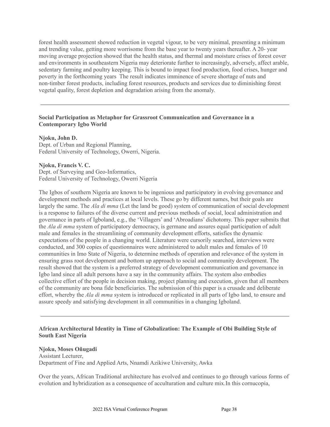forest health assessment showed reduction in vegetal vigour, to be very minimal, presenting a minimum and trending value, getting more worrisome from the base year to twenty years thereafter. A 20- year moving average projection showed that the health status, and thermal and moisture crises of forest cover and environments in southeastern Nigeria may deteriorate further to increasingly, adversely, affect arable, sedentary farming and poultry keeping. This is bound to impact food production, food crises, hunger and poverty in the forthcoming years The result indicates imminence of severe shortage of nuts and non-timber forest products, including forest resources, products and services due to diminishing forest vegetal quality, forest depletion and degradation arising from the anomaly.

### **Social Participation as Metaphor for Grassroot Communication and Governance in a Contemporary Igbo World**

**Njoku, John D.**

Dept. of Urban and Regional Planning, Federal University of Technology, Owerri, Nigeria.

**Njoku, Francis V. C.** Dept. of Surveying and Geo-Informatics, Federal University of Technology, Owerri Nigeria

The Igbos of southern Nigeria are known to be ingenious and participatory in evolving governance and development methods and practices at local levels. These go by different names, but their goals are largely the same. The *Ala di mma* (Let the land be good) system of communication of social development is a response to failures of the diverse current and previous methods of social, local administration and governance in parts of Igboland, e.g., the 'Villagers' and 'Abroadians' dichotomy. This paper submits that the *Ala di mma* system of participatory democracy, is germane and assures equal participation of adult male and females in the streamlining of community development efforts, satisfies the dynamic expectations of the people in a changing world. Literature were cursorily searched, interviews were conducted, and 300 copies of questionnaires were administered to adult males and females of 10 communities in Imo State of Nigeria, to determine methods of operation and relevance of the system in ensuring grass root development and bottom up approach to social and community development. The result showed that the system is a preferred strategy of development communication and governance in Igbo land since all adult persons have a say in the community affairs. The system also embodies collective effort of the people in decision making, project planning and execution, given that all members of the community are bona fide beneficiaries. The submission of this paper is a crusade and deliberate effort, whereby the *Ala di mma* system is introduced or replicated in all parts of Igbo land, to ensure and assure speedy and satisfying development in all communities in a changing Igboland.

#### **African Architectural Identity in Time of Globalization: The Example of Obi Building Style of South East Nigeria**

#### **Njoku, Moses Oñugadi**

Assistant Lecturer, Department of Fine and Applied Arts, Nnamdi Azikiwe University, Awka

Over the years, African Traditional architecture has evolved and continues to go through various forms of evolution and hybridization as a consequence of acculturation and culture mix.In this cornucopia,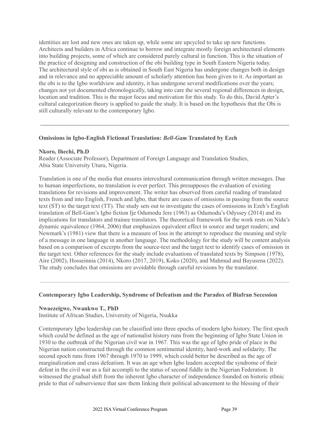identities are lost and new ones are taken up, while some are upcycled to take up new functions. Architects and builders in Africa continue to borrow and integrate mostly foreign architectural elements into building projects, some of which are considered purely cultural in function. This is the situation of the practice of designing and construction of the obi building type in South Eastern Nigeria today. The architectural style of obi as is obtained in South East Nigeria has undergone changes both in design and in relevance and no appreciable amount of scholarly attention has been given to it. As important as the obi is to the Igbo worldview and identity, it has undergone several modifications over the years; changes not yet documented chronologically, taking into care the several regional differences in design, location and tradition. This is the major focus and motivation for this study. To do this, David Apter's cultural categorization theory is applied to guide the study. It is based on the hypothesis that the Obi is still culturally relevant to the contemporary Igbo.

#### **Omissions in Igbo-English Fictional Translation:** *Bell-Gam* **Translated by Ezeh**

#### **Nkoro, Ihechi, Ph.D**

Reader (Associate Professor), Department of Foreign Language and Translation Studies, Abia State University Uturu, Nigeria.

Translation is one of the media that ensures intercultural communication through written messages. Due to human imperfections, no translation is ever perfect. This presupposes the evaluation of existing translations for revisions and improvement. The writer has observed from careful reading of translated texts from and into English, French and Igbo, that there are cases of omissions in passing from the source text (ST) to the target text (TT). The study sets out to investigate the cases of omissions in Ezeh's English translation of Bell-Gam's Igbo fiction Ije Odumodu Jere (1963) as Odumodu's Odyssey (2014) and its implications for translators and trainee translators. The theoretical framework for the work rests on Nida's dynamic equivalence (1964, 2006) that emphasizes equivalent effect in source and target readers; and Newmark's (1981) view that there is a measure of loss in the attempt to reproduce the meaning and style of a message in one language in another language. The methodology for the study will be content analysis based on a comparison of excerpts from the source-text and the target text to identify cases of omission in the target text. Other references for the study include evaluations of translated texts by Simpson (1978), Aire (2002), Hosseinnia (2014), Nkoro (2017, 2019), Koko (2020), and Mahmud and Bayusena (2022). The study concludes that omissions are avoidable through careful revisions by the translator.

#### **Contemporary Igbo Leadership, Syndrome of Defeatism and the Paradox of Biafran Secession**

#### **Nwaezeigwe, Nwankwo T., PhD**

Institute of African Studies, University of Nigeria, Nsukka

Contemporary Igbo leadership can be classified into three epochs of modern Igbo history. The first epoch which could be defined as the age of nationalist history runs from the beginning of Igbo State Union in 1930 to the outbreak of the Nigerian civil war in 1967. This was the age of Igbo pride of place in the Nigerian nation constructed through the common sentimental identity, hard-work and solidarity. The second epoch runs from 1967 through 1970 to 1999, which could better be described as the age of marginalization and crass defeatism. It was an age when Igbo leaders accepted the syndrome of their defeat in the civil war as a fait accompli to the status of second fiddle in the Nigerian Federation. It witnessed the gradual shift from the inherent Igbo character of independence founded on historic ethnic pride to that of subservience that saw them linking their political advancement to the blessing of their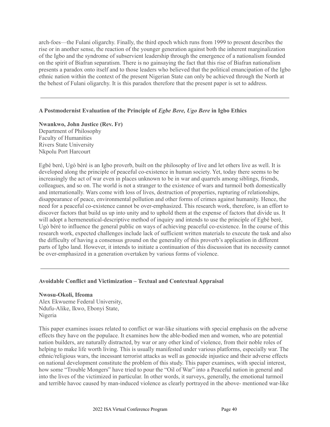arch-foes—the Fulani oligarchy. Finally, the third epoch which runs from 1999 to present describes the rise or in another sense, the reaction of the younger generation against both the inherent marginalization of the Igbo and the syndrome of subservient leadership through the emergence of a nationalism founded on the spirit of Biafran separatism. There is no gainsaying the fact that this rise of Biafran nationalism presents a paradox onto itself and to those leaders who believed that the political emancipation of the Igbo ethnic nation within the context of the present Nigerian State can only be achieved through the North at the behest of Fulani oligarchy. It is this paradox therefore that the present paper is set to address.

#### **A Postmodernist Evaluation of the Principle of** *Egbe Bere, Ugo Bere* **in Igbo Ethics**

**Nwankwo, John Justice (Rev. Fr)** Department of Philosophy Faculty of Humanities Rivers State University Nkpolu Port Harcourt

Egbé beré, Ugò béré is an Igbo proverb, built on the philosophy of live and let others live as well. It is developed along the principle of peaceful co-existence in human society. Yet, today there seems to be increasingly the act of war even in places unknown to be in war and quarrels among siblings, friends, colleagues, and so on. The world is not a stranger to the existence of wars and turmoil both domestically and internationally. Wars come with loss of lives, destruction of properties, rupturing of relationships, disappearance of peace, environmental pollution and other forms of crimes against humanity. Hence, the need for a peaceful co-existence cannot be over-emphasized. This research work, therefore, is an effort to discover factors that build us up into unity and to uphold them at the expense of factors that divide us. It will adopt a hermeneutical-descriptive method of inquiry and intends to use the principle of Egbé beré, Ugò béré to influence the general public on ways of achieving peaceful co-existence. In the course of this research work, expected challenges include lack of sufficient written materials to execute the task and also the difficulty of having a consensus ground on the generality of this proverb's application in different parts of Igbo land. However, it intends to initiate a continuation of this discussion that its necessity cannot be over-emphasized in a generation overtaken by various forms of violence.

#### **Avoidable Conflict and Victimization – Textual and Contextual Appraisal**

#### **Nwosu-Okoli, Ifeoma**

Alex Ekwueme Federal University, Ndufu-Alike, Ikwo, Ebonyi State, Nigeria

This paper examines issues related to conflict or war-like situations with special emphasis on the adverse effects they have on the populace. It examines how the able-bodied men and women, who are potential nation builders, are naturally distracted, by war or any other kind of violence, from their noble roles of helping to make life worth living. This is usually manifested under various platforms, especially war. The ethnic/religious wars, the incessant terrorist attacks as well as genocide injustice and their adverse effects on national development constitute the problem of this study. This paper examines, with special interest, how some "Trouble Mongers" have tried to pour the "Oil of War" into a Peaceful nation in general and into the lives of the victimized in particular. In other words, it surveys, generally, the emotional turmoil and terrible havoc caused by man-induced violence as clearly portrayed in the above- mentioned war-like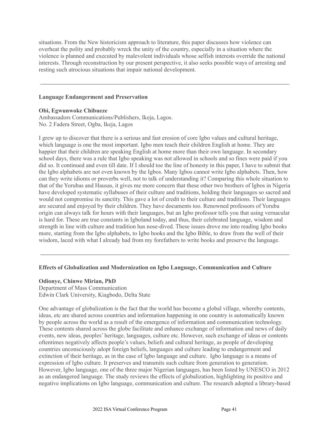situations. From the New historicism approach to literature, this paper discusses how violence can overheat the polity and probably wreck the unity of the country, especially in a situation where the violence is planned and executed by malevolent individuals whose selfish interests override the national interests. Through reconstruction by our present perspective, it also seeks possible ways of arresting and resting such atrocious situations that impair national development.

#### **Language Endangerment and Preservation**

#### **Obi, Egwunwoke Chibueze**

Ambassadors Communications/Publishers, Ikeja, Lagos. No. 2 Fadera Street, Ogba, Ikeja, Lagos

I grew up to discover that there is a serious and fast erosion of core Igbo values and cultural heritage, which language is one the most important. Igbo men teach their children English at home. They are happier that their children are speaking English at home more than their own language. In secondary school days, there was a rule that Igbo speaking was not allowed in schools and so fines were paid if you did so. It continued and even till date. If I should toe the line of honesty in this paper, I have to submit that the Igbo alphabets are not even known by the Igbos. Many Igbos cannot write Igbo alphabets. Then, how can they write idioms or proverbs well, not to talk of understanding it? Comparing this whole situation to that of the Yorubas and Hausas, it gives me more concern that these other two brothers of Igbos in Nigeria have developed systematic syllabuses of their culture and traditions, holding their languages so sacred and would not compromise its sanctity. This gave a lot of credit to their culture and traditions. Their languages are secured and enjoyed by their children. They have documents too. Renowned professors of Yoruba origin can always talk for hours with their languages, but an Igbo professor tells you that using vernacular is hard for. These are true constants in Igboland today, and thus, their celebrated language, wisdom and strength in line with culture and tradition has nose-dived. These issues drove me into reading Igbo books more, starting from the Igbo alphabets, to Igbo books and the Igbo Bible, to draw from the well of their wisdom, laced with what I already had from my forefathers to write books and preserve the language.

#### **Effects of Globalization and Modernization on Igbo Language, Communication and Culture**

#### **Odionye, Chinwe Mirian, PhD**

Department of Mass Communication Edwin Clark University, Kiagbodo, Delta State

One advantage of globalization is the fact that the world has become a global village, whereby contents, ideas, etc are shared across countries and information happening in one country is automatically known by people across the world as a result of the emergence of information and communication technology. These contents shared across the globe facilitate and enhance exchange of information and news of daily events, new ideas, peoples' heritage, languages, culture etc. However, such exchange of ideas or contents oftentimes negatively affects people's values, beliefs and cultural heritage, as people of developing countries unconsciously adopt foreign beliefs, languages and culture leading to endangerment and extinction of their heritage, as in the case of Igbo language and culture. Igbo language is a means of expression of Igbo culture. It preserves and transmits such culture from generation to generation. However, Igbo language, one of the three major Nigerian languages, has been listed by UNESCO in 2012 as an endangered language. The study reviews the effects of globalization, highlighting its positive and negative implications on Igbo language, communication and culture. The research adopted a library-based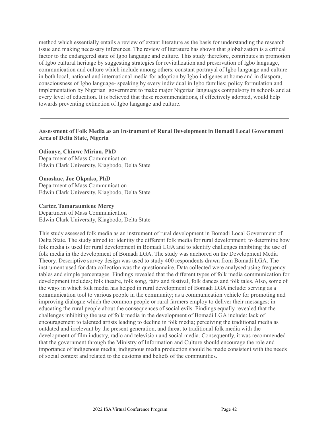method which essentially entails a review of extant literature as the basis for understanding the research issue and making necessary inferences. The review of literature has shown that globalization is a critical factor to the endangered state of Igbo language and culture. This study therefore, contributes in promotion of Igbo cultural heritage by suggesting strategies for revitalization and preservation of Igbo language, communication and culture which include among others: constant portrayal of Igbo language and culture in both local, national and international media for adoption by Igbo indigenes at home and in diaspora, consciousness of Igbo language- speaking by every individual in Igbo families; policy formulation and implementation by Nigerian government to make major Nigerian languages compulsory in schools and at every level of education. It is believed that these recommendations, if effectively adopted, would help towards preventing extinction of Igbo language and culture.

### **Assessment of Folk Media as an Instrument of Rural Development in Bomadi Local Government Area of Delta State, Nigeria**

**Odionye, Chinwe Mirian, PhD** Department of Mass Communication Edwin Clark University, Kiagbodo, Delta State

**Omoshue, Joe Okpako, PhD** Department of Mass Communication Edwin Clark University, Kiagbodo, Delta State

#### **Carter, Tamaraumiene Mercy**

Department of Mass Communication Edwin Clark University, Kiagbodo, Delta State

This study assessed folk media as an instrument of rural development in Bomadi Local Government of Delta State. The study aimed to: identity the different folk media for rural development; to determine how folk media is used for rural development in Bomadi LGA and to identify challenges inhibiting the use of folk media in the development of Bomadi LGA. The study was anchored on the Development Media Theory. Descriptive survey design was used to study 400 respondents drawn from Bomadi LGA. The instrument used for data collection was the questionnaire. Data collected were analysed using frequency tables and simple percentages. Findings revealed that the different types of folk media communication for development includes; folk theatre, folk song, fairs and festival, folk dances and folk tales. Also, some of the ways in which folk media has helped in rural development of Bomadi LGA include: serving as a communication tool to various people in the community; as a communication vehicle for promoting and improving dialogue which the common people or rural farmers employ to deliver their messages; in educating the rural people about the consequences of social evils. Findings equally revealed that the challenges inhibiting the use of folk media in the development of Bomadi LGA include: lack of encouragement to talented artists leading to decline in folk media; perceiving the traditional media as outdated and irrelevant by the present generation, and threat to traditional folk media with the development of film industry, radio and television and social media. Consequently, it was recommended that the government through the Ministry of Information and Culture should encourage the role and importance of indigenous media; indigenous media production should be made consistent with the needs of social context and related to the customs and beliefs of the communities.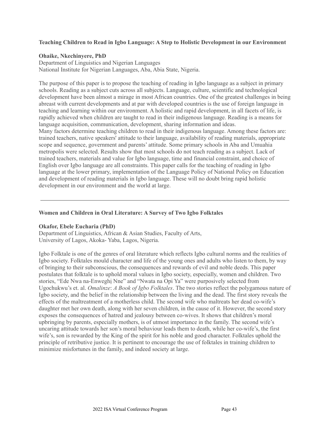#### **Teaching Children to Read in Igbo Language: A Step to Holistic Development in our Environment**

#### **Ohaike, Nkechinyere, PhD**

Department of Linguistics and Nigerian Languages National Institute for Nigerian Languages, Aba, Abia State, Nigeria.

The purpose of this paper is to propose the teaching of reading in Igbo language as a subject in primary schools. Reading as a subject cuts across all subjects. Language, culture, scientific and technological development have been almost a mirage in most African countries. One of the greatest challenges in being abreast with current developments and at par with developed countries is the use of foreign language in teaching and learning within our environment. A holistic and rapid development, in all facets of life, is rapidly achieved when children are taught to read in their indigenous language. Reading is a means for language acquisition, communication, development, sharing information and ideas. Many factors determine teaching children to read in their indigenous language. Among these factors are: trained teachers, native speakers' attitude to their language, availability of reading materials, appropriate scope and sequence, government and parents' attitude. Some primary schools in Aba and Umuahia metropolis were selected. Results show that most schools do not teach reading as a subject. Lack of trained teachers, materials and value for Igbo language, time and financial constraint, and choice of English over Igbo language are all constraints. This paper calls for the teaching of reading in Igbo language at the lower primary, implementation of the Language Policy of National Policy on Education and development of reading materials in Igbo language. These will no doubt bring rapid holistic development in our environment and the world at large.

#### **Women and Children in Oral Literature: A Survey of Two Igbo Folktales**

#### **Okafor, Ebele Eucharia (PhD)**

Department of Linguistics, African & Asian Studies, Faculty of Arts, University of Lagos, Akoka- Yaba, Lagos, Nigeria.

Igbo Folktale is one of the genres of oral literature which reflects Igbo cultural norms and the realities of Igbo society. Folktales mould character and life of the young ones and adults who listen to them, by way of bringing to their subconscious, the consequences and rewards of evil and noble deeds. This paper postulates that folktale is to uphold moral values in Igbo society, especially, women and children. Two stories, "Ede Nwa na-Enweghị Nne" and "Nwata na Opi Ya" were purposively selected from Ugochukwu's et. al. *Omalinze*: *A Book of Igbo Folktales*. The two stories reflect the polygamous nature of Igbo society, and the belief in the relationship between the living and the dead. The first story reveals the effects of the maltreatment of a motherless child. The second wife who maltreats her dead co-wife's daughter met her own death, along with her seven children, in the cause of it. However, the second story exposes the consequences of hatred and jealousy between co-wives. It shows that children's moral upbringing by parents, especially mothers, is of utmost importance in the family. The second wife's uncaring attitude towards her son's moral behaviour leads them to death, while her co-wife's, the first wife's, son is rewarded by the King of the spirit for his noble and good character. Folktales uphold the principle of retributive justice. It is pertinent to encourage the use of folktales in training children to minimize misfortunes in the family, and indeed society at large.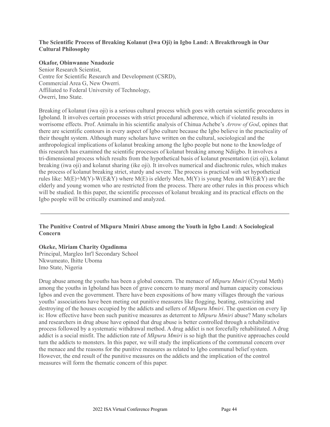### **The Scientific Process of Breaking Kolanut (Iwa Oji) in Igbo Land: A Breakthrough in Our Cultural Philosophy**

#### **Okafor, Obinwanne Nnadozie**

Senior Research Scientist, Centre for Scientific Research and Development (CSRD), Commercial Area G, New Owerri. Affiliated to Federal University of Technology, Owerri, Imo State.

Breaking of kolanut (iwa oji) is a serious cultural process which goes with certain scientific procedures in Igboland. It involves certain processes with strict procedural adherence, which if violated results in worrisome effects. Prof. Animalu in his scientific analysis of Chinua Achebe's *Arrow of God*, opines that there are scientific contours in every aspect of Igbo culture because the Igbo believe in the practicality of their thought system. Although many scholars have written on the cultural, sociological and the anthropological implications of kolanut breaking among the Igbo people but none to the knowledge of this research has examined the scientific processes of kolanut breaking among Ndiigbo. It involves a tri-dimensional process which results from the hypothetical basis of kolanut presentation (izi oji), kolanut breaking (iwa oji) and kolanut sharing (ike oji). It involves numerical and diachronic rules, which makes the process of kolanut breaking strict, sturdy and severe. The process is practical with set hypothetical rules like:  $M(E)+M(Y)-W(E\&Y)$  where  $M(E)$  is elderly Men,  $M(Y)$  is young Men and  $W(E\&Y)$  are the elderly and young women who are restricted from the process. There are other rules in this process which will be studied. In this paper, the scientific processes of kolanut breaking and its practical effects on the Igbo people will be critically examined and analyzed.

### **The Punitive Control of Mkpuru Mmiri Abuse among the Youth in Igbo Land: A Sociological Concern**

#### **Okeke, Miriam Charity Ogadinma**

Principal, Margleo Int'l Secondary School Nkwumeato, Ihitte Uboma Imo State, Nigeria

Drug abuse among the youths has been a global concern. The menace of *Mkpuru Mmiri* (Crystal Meth) among the youths in Igboland has been of grave concern to many moral and human capacity conscious Igbos and even the government. There have been expositions of how many villages through the various youths' associations have been meting out punitive measures like flogging, beating, ostracizing and destroying of the houses occupied by the addicts and sellers of *Mkpuru Mmiri*. The question on every lip is: How effective have been such punitive measures as deterrent to *Mkpuru Mmiri* abuse? Many scholars and researchers in drug abuse have opined that drug abuse is better controlled through a rehabilitative process followed by a systematic withdrawal method. A drug addict is not forcefully rehabilitated. A drug addict is a social misfit. The addiction rate of *Mkpuru Mmiri* is so high that the punitive approaches could turn the addicts to monsters. In this paper, we will study the implications of the communal concern over the menace and the reasons for the punitive measures as related to Igbo communal belief system. However, the end result of the punitive measures on the addicts and the implication of the control measures will form the thematic concern of this paper.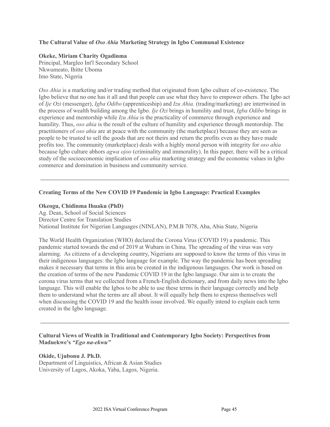#### **The Cultural Value of** *Oso Ahia* **Marketing Strategy in Igbo Communal Existence**

### **Okeke, Miriam Charity Ogadinma**

Principal, Margleo Int'l Secondary School Nkwumeato, Ihitte Uboma Imo State, Nigeria

*Oso Ahia* is a marketing and/or trading method that originated from Igbo culture of co-existence. The Igbo believe that no one has it all and that people can use what they have to empower others. The Igbo act of *Ije Ozi* (messenger), *Igba Odibo* (apprenticeship) and *Izu Ahia.* (trading/marketing) are intertwined in the process of wealth building among the Igbo. *Ije Ozi* brings in humility and trust, *Igba Odibo* brings in experience and mentorship while *Izu Ahia* is the practicality of commerce through experience and humility. Thus, *oso ahia* is the result of the culture of humility and experience through mentorship. The practitioners of *oso ahia* are at peace with the community (the marketplace) because they are seen as people to be trusted to sell the goods that are not theirs and return the profits even as they have made profits too. The community (marketplace) deals with a highly moral person with integrity for *oso ahia* because Igbo culture abhors *agwa ojoo* (criminality and immorality). In this paper, there will be a critical study of the socioeconomic implication of *oso ahia* marketing strategy and the economic values in Igbo commerce and domination in business and community service.

### **Creating Terms of the New COVID 19 Pandemic in Igbo Language: Practical Examples**

#### **Okeogu, Chidinma Ihuaku (PhD)**

Ag. Dean, School of Social Sciences Director Centre for Translation Studies National Institute for Nigerian Languages (NINLAN), P.M.B 7078, Aba, Abia State, Nigeria

The World Health Organization (WHO) declared the Corona Virus (COVID 19) a pandemic. This pandemic started towards the end of 2019 at Wubarn in China. The spreading of the virus was very alarming. As citizens of a developing country, Nigerians are supposed to know the terms of this virus in their indigenous languages: the Igbo language for example. The way the pandemic has been spreading makes it necessary that terms in this area be created in the indigenous languages. Our work is based on the creation of terms of the new Pandemic COVID 19 in the Igbo language. Our aim is to create the corona virus terms that we collected from a French-English dictionary, and from daily news into the Igbo language. This will enable the Igbos to be able to use these terms in their language correctly and help them to understand what the terms are all about. It will equally help them to express themselves well when discussing the COVID 19 and the health issue involved. We equally intend to explain each term created in the Igbo language.

#### **Cultural Views of Wealth in Traditional and Contemporary Igbo Society: Perspectives from Maduekwe's** *"Ego na-ekwu"*

**Okide, Ujubonu J. Ph.D.** Department of Linguistics, African & Asian Studies University of Lagos, Akoka, Yaba, Lagos, Nigeria.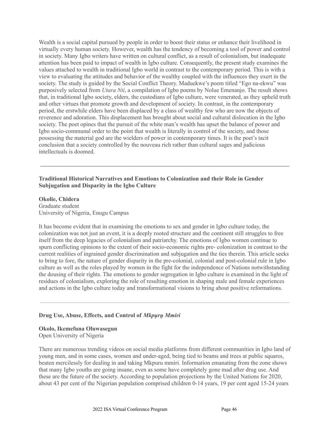Wealth is a social capital pursued by people in order to boost their status or enhance their livelihood in virtually every human society. However, wealth has the tendency of becoming a tool of power and control in society. Many Igbo writers have written on cultural conflict, as a result of colonialism, but inadequate attention has been paid to impact of wealth in Igbo culture. Consequently, the present study examines the values attached to wealth in traditional Igbo world in contrast to the contemporary period. This is with a view to evaluating the attitudes and behavior of the wealthy coupled with the influences they exert in the society. The study is guided by the Social Conflict Theory. Maduekwe's poem titled "Ego na-ekwu" was purposively selected from *Utara Nti*, a compilation of Igbo poems by Nolue Emenanjo. The result shows that, in traditional Igbo society, elders, the custodians of Igbo culture, were venerated, as they upheld truth and other virtues that promote growth and development of society. In contrast, in the contemporary period, the erstwhile elders have been displaced by a class of wealthy few who are now the objects of reverence and adoration. This displacement has brought about social and cultural dislocation in the Igbo society. The poet opines that the pursuit of the white man's wealth has upset the balance of power and Igbo socio-communal order to the point that wealth is literally in control of the society, and those possessing the material god are the wielders of power in contemporary times. It is the poet's tacit conclusion that a society controlled by the nouveau rich rather than cultural sages and judicious intellectuals is doomed.

### **Traditional Historical Narratives and Emotions to Colonization and their Role in Gender Subjugation and Disparity in the Igbo Culture**

**Okolie, Chidera** Graduate student University of Nigeria, Enugu Campus

It has become evident that in examining the emotions to sex and gender in Igbo culture today, the colonization was not just an event, it is a deeply rooted structure and the continent still struggles to free itself from the deep legacies of colonialism and patriarchy. The emotions of Igbo women continue to spurn conflicting opinions to the extent of their socio-economic rights pre- colonization in contrast to the current realities of ingrained gender discrimination and subjugation and the ties therein. This article seeks to bring to fore, the nature of gender disparity in the pre-colonial, colonial and post-colonial rule in Igbo culture as well as the roles played by women in the fight for the independence of Nations notwithstanding the dousing of their rights. The emotions to gender segregation in Igbo culture is examined in the light of residues of colonialism, exploring the role of resulting emotion in shaping male and female experiences and actions in the Igbo culture today and transformational visions to bring about positive reformations.

#### **Drug Use, Abuse, Effects, and Control of** *Mkpụrụ Mmiri*

# **Okolo, Ikemefuna Oluwasegun**

Open University of Nigeria

There are numerous trending videos on social media platforms from different communities in Igbo land of young men, and in some cases, women and under-aged, being tied to beams and trees at public squares, beaten mercilessly for dealing in and taking Mkpuru mmiri. Information emanating from the zone shows that many Igbo youths are going insane, even as some have completely gone mad after drug use. And these are the future of the society. According to population projections by the United Nations for 2020, about 43 per cent of the Nigerian population comprised children 0-14 years, 19 per cent aged 15-24 years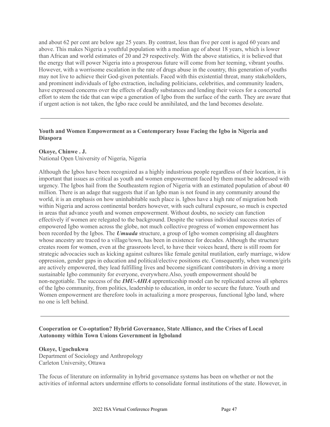and about 62 per cent are below age 25 years. By contrast, less than five per cent is aged 60 years and above. This makes Nigeria a youthful population with a median age of about 18 years, which is lower than African and world estimates of 20 and 29 respectively. With the above statistics, it is believed that the energy that will power Nigeria into a prosperous future will come from her teeming, vibrant youths. However, with a worrisome escalation in the rate of drugs abuse in the country, this generation of youths may not live to achieve their God-given potentials. Faced with this existential threat, many stakeholders, and prominent individuals of Igbo extraction, including politicians, celebrities, and community leaders, have expressed concerns over the effects of deadly substances and lending their voices for a concerted effort to stem the tide that can wipe a generation of Igbo from the surface of the earth. They are aware that if urgent action is not taken, the Igbo race could be annihilated, and the land becomes desolate.

### **Youth and Women Empowerment as a Contemporary Issue Facing the Igbo in Nigeria and Diaspora**

#### **Okoye, Chinwe . J.**

National Open University of Nigeria, Nigeria

Although the Igbos have been recognized as a highly industrious people regardless of their location, it is important that issues as critical as youth and women empowerment faced by them must be addressed with urgency. The Igbos hail from the Southeastern region of Nigeria with an estimated population of about 40 million. There is an adage that suggests that if an Igbo man is not found in any community around the world, it is an emphasis on how uninhabitable such place is. Igbos have a high rate of migration both within Nigeria and across continental borders however, with such cultural exposure, so much is expected in areas that advance youth and women empowerment. Without doubts, no society can function effectively if women are relegated to the background. Despite the various individual success stories of empowered Igbo women across the globe, not much collective progress of women empowerment has been recorded by the Igbos. The *Umuada* structure, a group of Igbo women comprising all daughters whose ancestry are traced to a village/town, has been in existence for decades. Although the structure creates room for women, even at the grassroots level, to have their voices heard, there is still room for strategic advocacies such as kicking against cultures like female genital mutilation, early marriage, widow oppression, gender gaps in education and political/elective positions etc. Consequently, when women/girls are actively empowered, they lead fulfilling lives and become significant contributors in driving a more sustainable Igbo community for everyone, everywhere.Also, youth empowerment should be non-negotiable. The success of the *IMU-AHIA* apprenticeship model can be replicated across all spheres of the Igbo community, from politics, leadership to education, in order to secure the future. Youth and Women empowerment are therefore tools in actualizing a more prosperous, functional Igbo land, where no one is left behind.

#### **Cooperation or Co-optation? Hybrid Governance, State Alliance, and the Crises of Local Autonomy within Town Unions Government in Igboland**

#### **Okoye, Ugochukwu**

Department of Sociology and Anthropology Carleton University, Ottawa

The focus of literature on informality in hybrid governance systems has been on whether or not the activities of informal actors undermine efforts to consolidate formal institutions of the state. However, in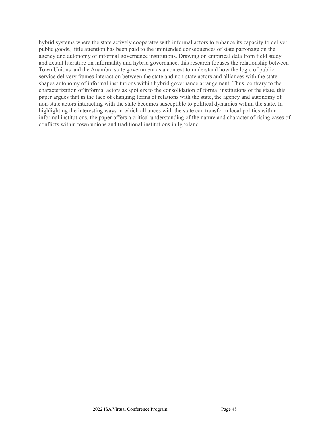hybrid systems where the state actively cooperates with informal actors to enhance its capacity to deliver public goods, little attention has been paid to the unintended consequences of state patronage on the agency and autonomy of informal governance institutions. Drawing on empirical data from field study and extant literature on informality and hybrid governance, this research focuses the relationship between Town Unions and the Anambra state government as a context to understand how the logic of public service delivery frames interaction between the state and non-state actors and alliances with the state shapes autonomy of informal institutions within hybrid governance arrangement. Thus, contrary to the characterization of informal actors as spoilers to the consolidation of formal institutions of the state, this paper argues that in the face of changing forms of relations with the state, the agency and autonomy of non-state actors interacting with the state becomes susceptible to political dynamics within the state. In highlighting the interesting ways in which alliances with the state can transform local politics within informal institutions, the paper offers a critical understanding of the nature and character of rising cases of conflicts within town unions and traditional institutions in Igboland.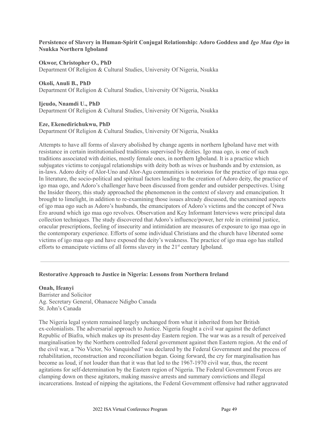### **Persistence of Slavery in Human-Spirit Conjugal Relationship: Adoro Goddess and** *Igo Maa Ogo* **in Nsukka Northern Igboland**

**Okwor, Christopher O., PhD** Department Of Religion & Cultural Studies, University Of Nigeria, Nsukka

# **Okoli, Anuli B., PhD**

Department Of Religion & Cultural Studies, University Of Nigeria, Nsukka

### **Ijeudo, Nnamdi U., PhD**

Department Of Religion & Cultural Studies, University Of Nigeria, Nsukka

### **Eze, Ekenedirichukwu, PhD**

Department Of Religion & Cultural Studies, University Of Nigeria, Nsukka

Attempts to have all forms of slavery abolished by change agents in northern Igboland have met with resistance in certain institutionalised traditions supervised by deities. Igo maa ogo, is one of such traditions associated with deities, mostly female ones, in northern Igboland. It is a practice which subjugates victims to conjugal relationships with deity both as wives or husbands and by extension, as in-laws. Adoro deity of Alor-Uno and Alor-Agu communities is notorious for the practice of igo maa ogo. In literature, the socio-political and spiritual factors leading to the creation of Adoro deity, the practice of igo maa ogo, and Adoro's challenger have been discussed from gender and outsider perspectives. Using the Insider theory, this study approached the phenomenon in the context of slavery and emancipation. It brought to limelight, in addition to re-examining those issues already discussed, the unexamined aspects of igo maa ogo such as Adoro's husbands, the emancipators of Adoro's victims and the concept of Nwa Ero around which igo maa ogo revolves. Observation and Key Informant Interviews were principal data collection techniques. The study discovered that Adoro's influence/power, her role in criminal justice, oracular prescriptions, feeling of insecurity and intimidation are measures of exposure to igo maa ogo in the contemporary experience. Efforts of some individual Christians and the church have liberated some victims of igo maa ogo and have exposed the deity's weakness. The practice of igo maa ogo has stalled efforts to emancipate victims of all forms slavery in the 21<sup>st</sup> century Igboland.

# **Restorative Approach to Justice in Nigeria: Lessons from Northern Ireland**

**Onah, Ifeanyi** Barrister and Solicitor Ag. Secretary General, Ohanaeze Ndigbo Canada St. John's Canada

The Nigeria legal system remained largely unchanged from what it inherited from her British ex-colonialists. The adversarial approach to Justice. Nigeria fought a civil war against the defunct Republic of Biafra, which makes up its present-day Eastern region. The war was as a result of perceived marginalisation by the Northern controlled federal government against then Eastern region. At the end of the civil war, a "No Victor, No Vanquished" was declared by the Federal Government and the process of rehabilitation, reconstruction and reconciliation began. Going forward, the cry for marginalisation has become as loud, if not louder than that it was that led to the 1967-1970 civil war, thus, the recent agitations for self-determination by the Eastern region of Nigeria. The Federal Government Forces are clamping down on these agitators, making massive arrests and summary convictions and illegal incarcerations. Instead of nipping the agitations, the Federal Government offensive had rather aggravated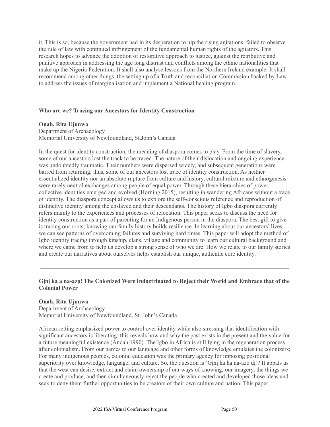it. This is so, because the government had in its desperation to nip the rising agitations, failed to observe the rule of law with continued infringement of the fundamental human rights of the agitators. This research hopes to advance the adoption of restorative approach to justice, against the retributive and punitive approach in addressing the age long distrust and conflicts among the ethnic nationalities that make up the Nigeria Federation. It shall also analyse lessons from the Northern Ireland example. It shall recommend among other things, the setting up of a Truth and reconciliation Commission backed by Law to address the issues of marginalisation and implement a National healing program.

#### **Who are we? Tracing our Ancestors for Identity Construction**

**Onah, Rita Ujunwa**

Department of Archaeology Memorial University of Newfoundland, St.John's Canada

In the quest for identity construction, the meaning of diaspora comes to play. From the time of slavery, some of our ancestors lost the track to be traced. The nature of their dislocation and ongoing experience was undoubtedly traumatic. Their numbers were dispersed widely, and subsequent generations were barred from returning; thus, some of our ancestors lost trace of identity construction. As neither essentialized identity nor an absolute rupture from culture and history, cultural mixture and ethnogenesis were rarely neutral exchanges among people of equal power. Through these hierarchies of power, collective identities emerged and evolved (Horning 2015), resulting in wandering Africans without a trace of identity. The diaspora concept allows us to explore the self-conscious reference and reproduction of distinctive identity among the enslaved and their descendants. The history of Igbo diaspora currently refers mainly to the experiences and processes of relocation. This paper seeks to discuss the need for identity construction as a part of parenting for an Indigenous person in the diaspora. The best gift to give is tracing our roots; knowing our family history builds resilience. In learning about our ancestors' lives, we can see patterns of overcoming failures and surviving hard times. This paper will adopt the method of Igbo identity tracing through kinship, clans, village and community to learn our cultural background and where we came from to help us develop a strong sense of who we are. How we relate to our family stories and create our narratives about ourselves helps establish our unique, authentic core identity.

#### **Gịnị ka a na-azọ! The Colonized Were Indoctrinated to Reject their World and Embrace that of the Colonial Power**

#### **Onah, Rita Ujunwa**

Department of Archaeology Memorial University of Newfoundland, St. John's Canada

African setting emphasized power to control over identity while also stressing that identification with significant ancestors is liberating; this reveals how and why the past exists in the present and the value for a future meaningful existence (Andah 1990). The Igbo in Africa is still lying in the regeneration process after colonialism. From our names to our language and other forms of knowledge emulates the colonizers; For many indigenous peoples, colonial education was the primary agency for imposing positional superiority over knowledge, language, and culture. So, the question is 'Gini ka ha na-azo di'? It appals us that the west can desire, extract and claim ownership of our ways of knowing, our imagery, the things we create and produce, and then simultaneously reject the people who created and developed those ideas and seek to deny them further opportunities to be creators of their own culture and nation. This paper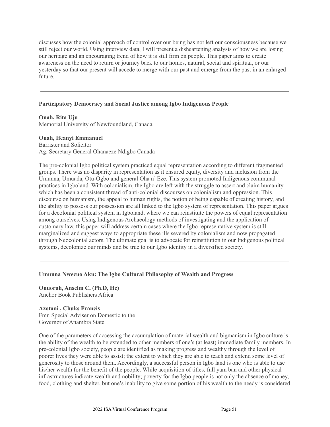discusses how the colonial approach of control over our being has not left our consciousness because we still reject our world. Using interview data, I will present a disheartening analysis of how we are losing our heritage and an encouraging trend of how it is still firm on people. This paper aims to create awareness on the need to return or journey back to our homes, natural, social and spiritual, or our yesterday so that our present will accede to merge with our past and emerge from the past in an enlarged future.

### **Participatory Democracy and Social Justice among Igbo Indigenous People**

**Onah, Rita Uju** Memorial University of Newfoundland, Canada

#### **Onah, Ifeanyi Emmanuel**

Barrister and Solicitor Ag. Secretary General Ohanaeze Ndigbo Canada

The pre-colonial Igbo political system practiced equal representation according to different fragmented groups. There was no disparity in representation as it ensured equity, diversity and inclusion from the Umunna, Umuada, Otu-Ogbo and general Oha n' Eze. This system promoted Indigenous communal practices in Igboland. With colonialism, the Igbo are left with the struggle to assert and claim humanity which has been a consistent thread of anti-colonial discourses on colonialism and oppression. This discourse on humanism, the appeal to human rights, the notion of being capable of creating history, and the ability to possess our possession are all linked to the Igbo system of representation. This paper argues for a decolonial political system in Igboland, where we can reinstitute the powers of equal representation among ourselves. Using Indigenous Archaeology methods of investigating and the application of customary law, this paper will address certain cases where the Igbo representative system is still marginalized and suggest ways to appropriate these ills severed by colonialism and now propagated through Neocolonial actors. The ultimate goal is to advocate for reinstitution in our Indigenous political systems, decolonize our minds and be true to our Igbo identity in a diversified society.

#### **Umunna Nwezuo Aku: The Igbo Cultural Philosophy of Wealth and Progress**

**Onuorah, Anselm C, (Ph.D, Hc)** Anchor Book Publishers Africa

**Azotani , Chuks Francis** Fmr. Special Adviser on Domestic to the Governor of Anambra State

One of the parameters of accessing the accumulation of material wealth and bigmanism in Igbo culture is the ability of the wealth to be extended to other members of one's (at least) immediate family members. In pre-colonial Igbo society, people are identified as making progress and wealthy through the level of poorer lives they were able to assist; the extent to which they are able to teach and extend some level of generosity to those around them. Accordingly, a successful person in Igbo land is one who is able to use his/her wealth for the benefit of the people. While acquisition of titles, full yam ban and other physical infrastructures indicate wealth and nobility; poverty for the Igbo people is not only the absence of money, food, clothing and shelter, but one's inability to give some portion of his wealth to the needy is considered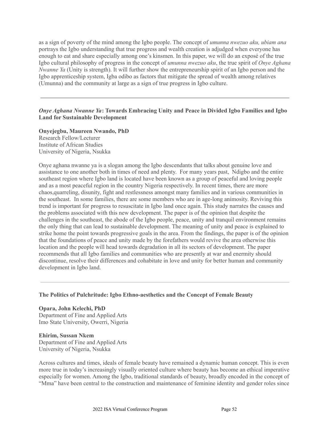as a sign of poverty of the mind among the Igbo people. The concept of *umunna nwezuo aku, ubiam ana* portrays the Igbo understanding that true progress and wealth creation is adjudged when everyone has enough to eat and share especially among one's kinsmen. In this paper, we will do an exposé of the true Igbo cultural philosophy of progress in the concept of *umunna nwezuo aku*, the true spirit of *Onye Aghana Nwanne Ya* (Unity is strength). It will further show the entrepreneurship spirit of an Igbo person and the Igbo apprenticeship system, Igba odibo as factors that mitigate the spread of wealth among relatives (Umunna) and the community at large as a sign of true progress in Igbo culture.

### *Onye Aghana Nwanne Ya***: Towards Embracing Unity and Peace in Divided Igbo Families and Igbo Land for Sustainable Development**

**Onyejegbu, Maureen Nwando, PhD** Research Fellow/Lecturer Institute of African Studies University of Nigeria, Nsukka

Onye aghana nwanne ya is a slogan among the Igbo descendants that talks about genuine love and assistance to one another both in times of need and plenty. For many years past, Ndigbo and the entire southeast region where Igbo land is located have been known as a group of peaceful and loving people and as a most peaceful region in the country Nigeria respectively. In recent times, there are more chaos,quarreling, disunity, fight and restlessness amongst many families and in various communities in the southeast. In some families, there are some members who are in age-long animosity. Reviving this trend is important for progress to resuscitate in Igbo land once again. This study narrates the causes and the problems associated with this new development. The paper is of the opinion that despite the challenges in the southeast, the abode of the Igbo people, peace, unity and tranquil environment remains the only thing that can lead to sustainable development. The meaning of unity and peace is explained to strike home the point towards progressive goals in the area. From the findings, the paper is of the opinion that the foundations of peace and unity made by the forefathers would revive the area otherwise this location and the people will head towards degradation in all its sectors of development. The paper recommends that all Igbo families and communities who are presently at war and enermity should discontinue, resolve their differences and cohabitate in love and unity for better human and community development in Igbo land.

#### **The Politics of Pulchritude: Igbo Ethno-aesthetics and the Concept of Female Beauty**

**Opara, John Kelechi, PhD** Department of Fine and Applied Arts Imo State University, Owerri, Nigeria

**Ehirim, Sussan Nkem** Department of Fine and Applied Arts University of Nigeria, Nsukka

Across cultures and times, ideals of female beauty have remained a dynamic human concept. This is even more true in today's increasingly visually oriented culture where beauty has become an ethical imperative especially for women. Among the Igbo, traditional standards of beauty, broadly encoded in the concept of "Mma" have been central to the construction and maintenance of feminine identity and gender roles since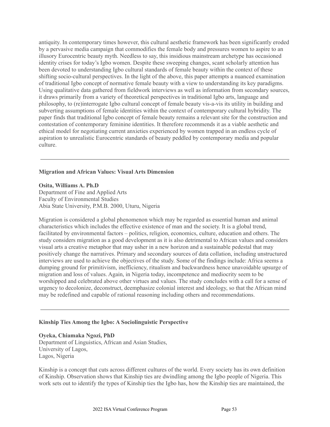antiquity. In contemporary times however, this cultural aesthetic framework has been significantly eroded by a pervasive media campaign that commodifies the female body and pressures women to aspire to an illusory Eurocentric beauty myth. Needless to say, this insidious mainstream archetype has occasioned identity crises for today's Igbo women. Despite these sweeping changes, scant scholarly attention has been devoted to understanding Igbo cultural standards of female beauty within the context of these shifting socio-cultural perspectives. In the light of the above, this paper attempts a nuanced examination of traditional Igbo concept of normative female beauty with a view to understanding its key paradigms. Using qualitative data gathered from fieldwork interviews as well as information from secondary sources, it draws primarily from a variety of theoretical perspectives in traditional Igbo arts, language and philosophy, to (re)interrogate Igbo cultural concept of female beauty vis-a-vis its utility in building and subverting assumptions of female identities within the context of contemporary cultural hybridity. The paper finds that traditional Igbo concept of female beauty remains a relevant site for the construction and contestation of contemporary feminine identities. It therefore recommends it as a viable aesthetic and ethical model for negotiating current anxieties experienced by women trapped in an endless cycle of aspiration to unrealistic Eurocentric standards of beauty peddled by contemporary media and popular culture.

#### **Migration and African Values: Visual Arts Dimension**

**Osita, Williams A. Ph.D**

Department of Fine and Applied Arts Faculty of Environmental Studies Abia State University, P.M.B. 2000, Uturu, Nigeria

Migration is considered a global phenomenon which may be regarded as essential human and animal characteristics which includes the effective existence of man and the society. It is a global trend, facilitated by environmental factors – politics, religion, economics, culture, education and others. The study considers migration as a good development as it is also detrimental to African values and considers visual arts a creative metaphor that may usher in a new horizon and a sustainable pedestal that may positively change the narratives. Primary and secondary sources of data collation, including unstructured interviews are used to achieve the objectives of the study. Some of the findings include: Africa seems a dumping ground for primitivism, inefficiency, ritualism and backwardness hence unavoidable upsurge of migration and loss of values. Again, in Nigeria today, incompetence and mediocrity seem to be worshipped and celebrated above other virtues and values. The study concludes with a call for a sense of urgency to decolonize, deconstruct, deemphasize colonial interest and ideology, so that the African mind may be redefined and capable of rational reasoning including others and recommendations.

#### **Kinship Ties Among the Igbo: A Sociolinguistic Perspective**

**Oyeka, Chiamaka Ngozi, PhD** Department of Linguistics, African and Asian Studies, University of Lagos, Lagos, Nigeria

Kinship is a concept that cuts across different cultures of the world. Every society has its own definition of Kinship. Observation shows that Kinship ties are dwindling among the Igbo people of Nigeria. This work sets out to identify the types of Kinship ties the Igbo has, how the Kinship ties are maintained, the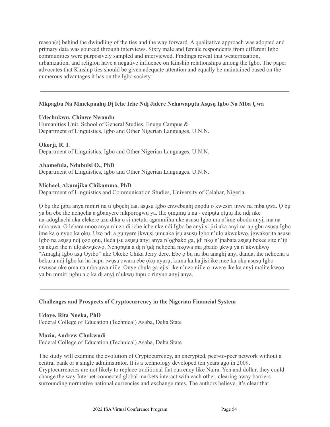reason(s) behind the dwindling of the ties and the way forward. A qualitative approach was adopted and primary data was sourced through interviews. Sixty male and female respondents from different Igbo communities were purposively sampled and interviewed. Findings reveal that westernization, urbanization, and religion have a negative influence on Kinship relationships among the Igbo. The paper advocates that Kinship ties should be given adequate attention and equally be maintained based on the numerous advantages it has on the Igbo society.

# **Mkpagbu Na Mmekpaahụ Dị Iche Iche Ndị Jidere Nchawapụta Asụsụ Igbo Na Mba Ụwa**

#### **Udechukwu, Chinwe Nwaudu**

Humanities Unit, School of General Studies, Enugu Campus & Department of Linguistics, Igbo and Other Nigerian Languages, U.N.N.

**Okorji, R. I.** Department of Linguistics, Igbo and Other Nigerian Languages, U.N.N.

#### **Ahamefula, Ndubuisi O., PhD**

Department of Linguistics, Igbo and Other Nigerian Languages, U.N.N.

#### **Michael, Akumjika Chikamma, PhD**

Department of Linguistics and Communication Studies, University of Calabar, Nigeria.

Ọ bụ ihe ịgba anya mmiri na u'ụbọchị taa, asụsụ Igbo enwebeghị ọnọdu o kwesiri inwe na mba ụwa. Ọ bụ ya bụ ebe ihe nchọcha a gbanyere mkpọrọgwụ ya. Ihe ọmụmụ a na - ezipụta ọtụtụ ihe ndị nke na-adọghachi aka elekere azụ dịka o si metụta agamniihu nke asụsụ Igbo ma n'ime obodo anyị, ma na mba ụwa. O lebara nnọọ anya n'ụzọ dị iche iche nke ndị Igbo be anyị si jiri aka anyị na-apịgbu asụsụ Igbo ime ka ọ nyụọ ka ọkụ. Ụzọ ndị a gụnyere ịkwụsị ụmụaka ịsụ asụsụ Igbo n'ụlọ akwụkwọ, ịgwakọrịta asụsụ Igbo na asụsụ ndị ọzọ ọnụ, ileda isụ asụsụ anyị anya n'ọgbakọ ga, idi nkọ n'inabata asụsụ bekee site n'iji ya akụzi ihe n'ụlọakwụkwọ. Nchọpụta a dị n'ụdị nchọcha nkọwa ma gbado ụkwụ ya n'akwụkwọ "Amaghị Igbo asụ Oyibo" nke Okeke Chika Jerry dere. Ebe ọ bụ na ibu anaghị anyị danda, ihe nchọcha a bekuru ndị Igbo ka ha hapụ iwụsa ọwara ebe ọkụ nyụrụ, kama ka ha jisi ike mee ka ọkụ asụsụ Igbo nwusaa nke oma na mba uwa niile. Onye obula ga-ejisi ike n'uzo niile o nwere ike ka anyi malite kwoo ya bụ mmiri ugbu a ọ ka dị anyị n'ụkwụ tupu o rinyuo anyị anya.

#### **Challenges and Prospects of Cryptocurrency in the Nigerian Financial System**

**Udoye, Rita Nneka, PhD** Federal College of Education (Technical) Asaba, Delta State

#### **Mozia, Andrew Chukwudi**

Federal College of Education (Technical) Asaba, Delta State

The study will examine the evolution of Cryptocurrency, an encrypted, peer-to-peer network without a central bank or a single administrator. It is a technology developed ten years ago in 2009. Cryptocurrencies are not likely to replace traditional fiat currency like Naira. Yen and dollar, they could change the way Internet-connected global markets interact with each other, clearing away barriers surrounding normative national currencies and exchange rates. The authors believe, it's clear that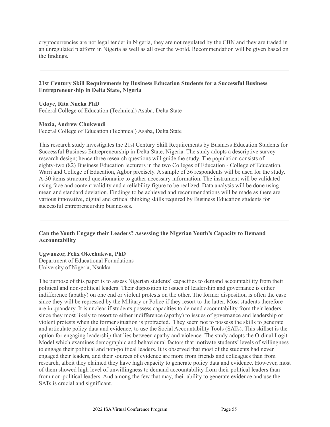cryptocurrencies are not legal tender in Nigeria, they are not regulated by the CBN and they are traded in an unregulated platform in Nigeria as well as all over the world. Recommendation will be given based on the findings.

#### **21st Century Skill Requirements by Business Education Students for a Successful Business Entrepreneurship in Delta State, Nigeria**

#### **Udoye, Rita Nneka PhD**

Federal College of Education (Technical) Asaba, Delta State

### **Mozia, Andrew Chukwudi**

Federal College of Education (Technical) Asaba, Delta State

This research study investigates the 21st Century Skill Requirements by Business Education Students for Successful Business Entrepreneurship in Delta State, Nigeria. The study adopts a descriptive survey research design; hence three research questions will guide the study. The population consists of eighty-two (82) Business Education lecturers in the two Colleges of Education - College of Education, Warri and College of Education, Agbor precisely. A sample of 36 respondents will be used for the study. A-30 items structured questionnaire to gather necessary information. The instrument will be validated using face and content validity and a reliability figure to be realized. Data analysis will be done using mean and standard deviation. Findings to be achieved and recommendations will be made as there are various innovative, digital and critical thinking skills required by Business Education students for successful entrepreneurship businesses.

#### **Can the Youth Engage their Leaders? Assessing the Nigerian Youth's Capacity to Demand Accountability**

# **Ugwuozor, Felix Okechukwu, PhD**

Department of Educational Foundations University of Nigeria, Nsukka

The purpose of this paper is to assess Nigerian students' capacities to demand accountability from their political and non-political leaders. Their disposition to issues of leadership and governance is either indifference (apathy) on one end or violent protests on the other. The former disposition is often the case since they will be repressed by the Military or Police if they resort to the latter. Most students therefore are in quandary. It is unclear if students possess capacities to demand accountability from their leaders since they most likely to resort to either indifference (apathy) to issues of governance and leadership or violent protests when the former situation is protracted. They seem not to possess the skills to generate and articulate policy data and evidence, to use the Social Accountability Tools (SATs). This skillset is the option for engaging leadership that lies between apathy and violence. The study adopts the Ordinal Logit Model which examines demographic and behavioural factors that motivate students' levels of willingness to engage their political and non-political leaders. It is observed that most of the students had never engaged their leaders, and their sources of evidence are more from friends and colleagues than from research, albeit they claimed they have high capacity to generate policy data and evidence. However, most of them showed high level of unwillingness to demand accountability from their political leaders than from non-political leaders. And among the few that may, their ability to generate evidence and use the SATs is crucial and significant.